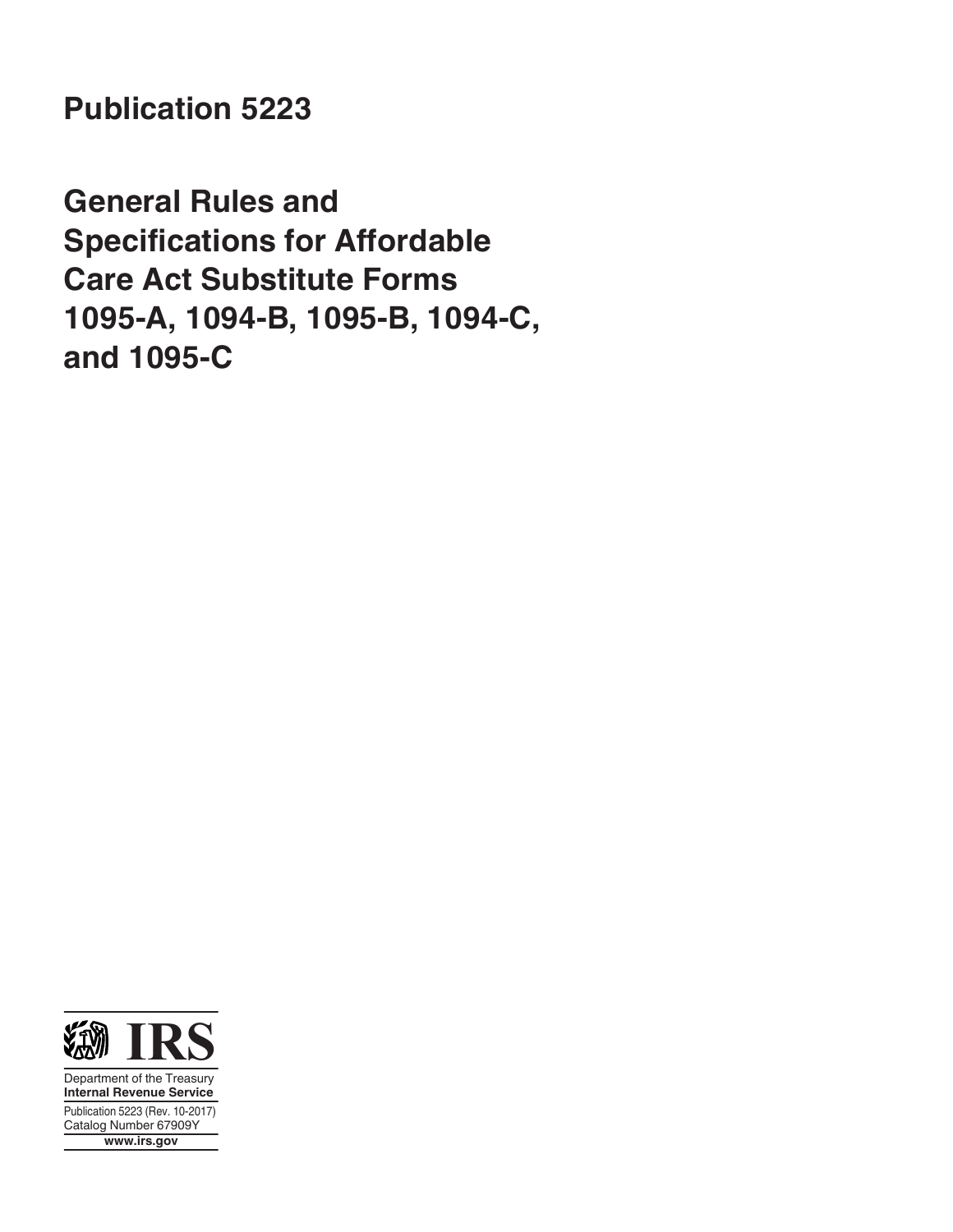**Publication 5223**

**General Rules and Specifications for Affordable Care Act Substitute Forms 1095-A, 1094-B, 1095-B, 1094-C, and 1095-C**



Department of the Treasury **Internal Revenue Service** Publication 5223 (Rev. 10-2017) Catalog Number 67909Y **www.irs.gov**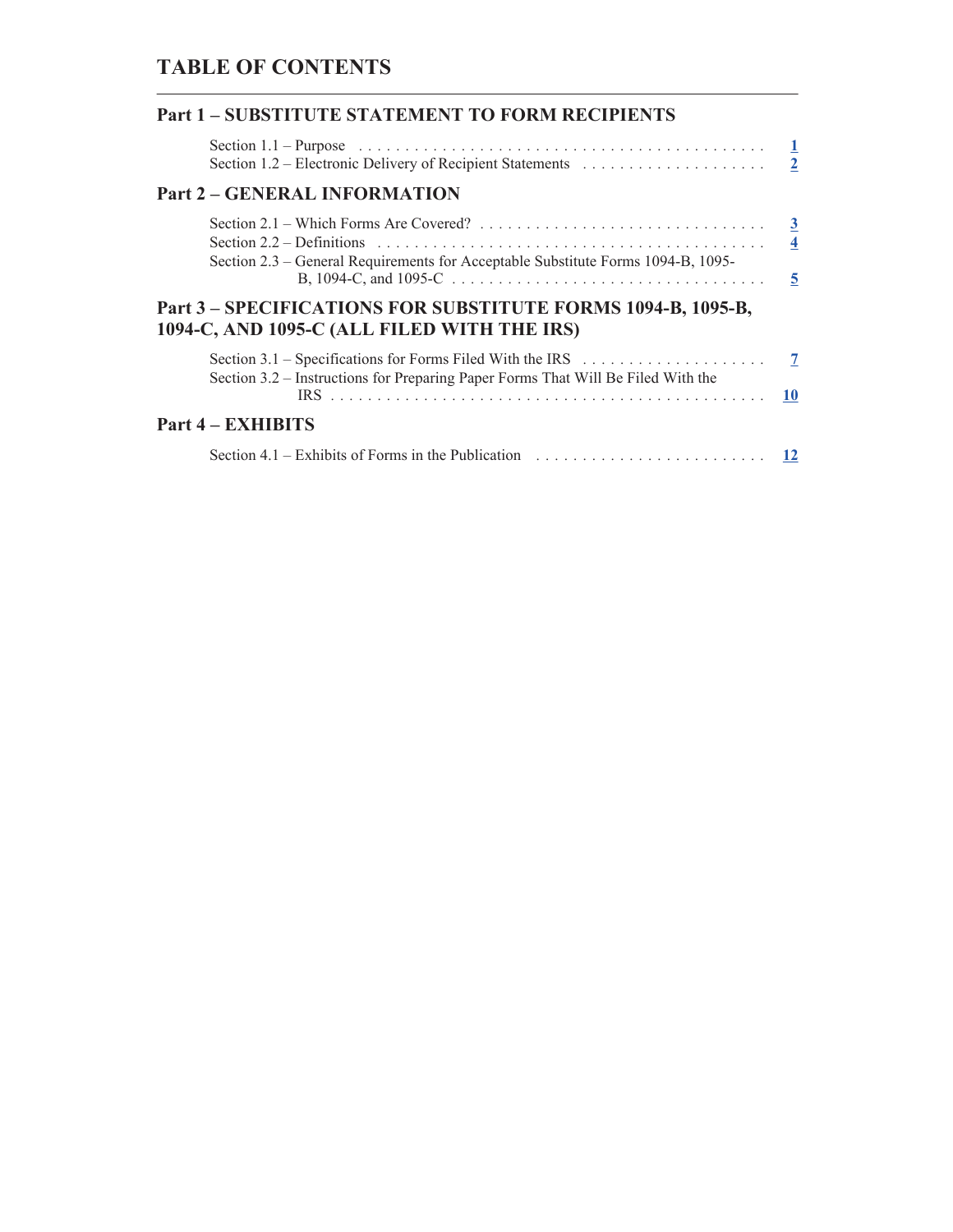# **TABLE OF CONTENTS**

| <b>Part 1-SUBSTITUTE STATEMENT TO FORM RECIPIENTS</b>                                                                                                                                                               |           |
|---------------------------------------------------------------------------------------------------------------------------------------------------------------------------------------------------------------------|-----------|
| Section 1.1 – Purpose $\ldots \ldots \ldots \ldots \ldots \ldots \ldots \ldots \ldots \ldots \ldots \ldots \ldots \qquad \underline{1}$                                                                             |           |
| <b>Part 2 - GENERAL INFORMATION</b>                                                                                                                                                                                 |           |
| Section 2.2 – Definitions $\ldots \ldots \ldots \ldots \ldots \ldots \ldots \ldots \ldots \ldots \ldots \ldots \ldots \qquad$ 4<br>Section 2.3 – General Requirements for Acceptable Substitute Forms 1094-B, 1095- |           |
| Part 3 - SPECIFICATIONS FOR SUBSTITUTE FORMS 1094-B, 1095-B,<br>1094-C, AND 1095-C (ALL FILED WITH THE IRS)                                                                                                         |           |
| Section 3.2 - Instructions for Preparing Paper Forms That Will Be Filed With the                                                                                                                                    | <b>10</b> |
| <b>Part 4 – EXHIBITS</b>                                                                                                                                                                                            |           |
| Section 4.1 – Exhibits of Forms in the Publication $\ldots \ldots \ldots \ldots \ldots \ldots \ldots \ldots$                                                                                                        |           |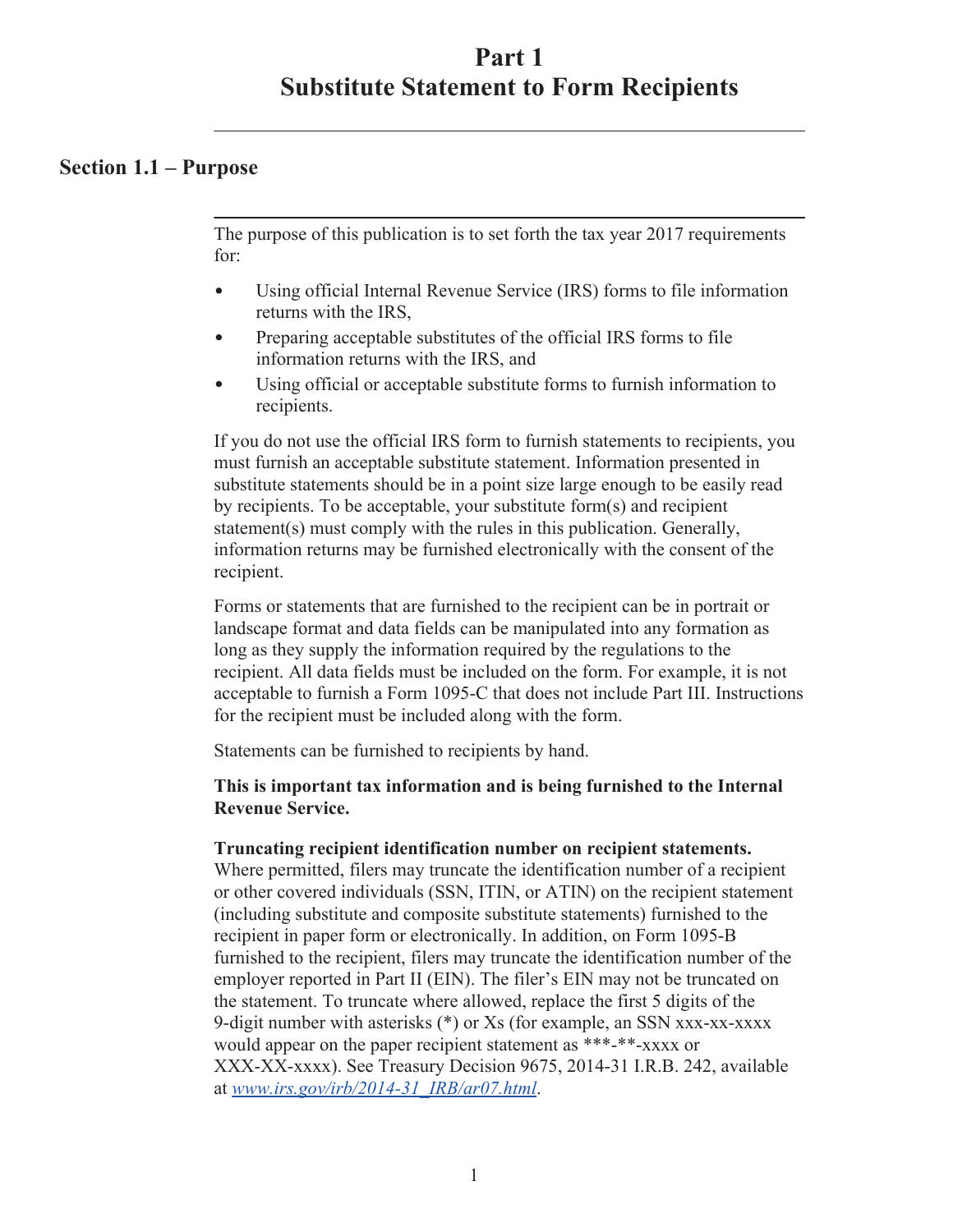## <span id="page-2-0"></span>**Section 1.1 – Purpose**

The purpose of this publication is to set forth the tax year 2017 requirements for:

- Using official Internal Revenue Service (IRS) forms to file information  $\bullet$ returns with the IRS,
- Preparing acceptable substitutes of the official IRS forms to file  $\bullet$ information returns with the IRS, and
- $\bullet$ Using official or acceptable substitute forms to furnish information to recipients.

If you do not use the official IRS form to furnish statements to recipients, you must furnish an acceptable substitute statement. Information presented in substitute statements should be in a point size large enough to be easily read by recipients. To be acceptable, your substitute form(s) and recipient statement(s) must comply with the rules in this publication. Generally, information returns may be furnished electronically with the consent of the recipient.

Forms or statements that are furnished to the recipient can be in portrait or landscape format and data fields can be manipulated into any formation as long as they supply the information required by the regulations to the recipient. All data fields must be included on the form. For example, it is not acceptable to furnish a Form 1095-C that does not include Part III. Instructions for the recipient must be included along with the form.

Statements can be furnished to recipients by hand.

### **This is important tax information and is being furnished to the Internal Revenue Service.**

#### **Truncating recipient identification number on recipient statements.**

Where permitted, filers may truncate the identification number of a recipient or other covered individuals (SSN, ITIN, or ATIN) on the recipient statement (including substitute and composite substitute statements) furnished to the recipient in paper form or electronically. In addition, on Form 1095-B furnished to the recipient, filers may truncate the identification number of the employer reported in Part II (EIN). The filer's EIN may not be truncated on the statement. To truncate where allowed, replace the first 5 digits of the 9-digit number with asterisks (\*) or Xs (for example, an SSN xxx-xx-xxxx would appear on the paper recipient statement as \*\*\*-\*\*-xxxx or XXX-XX-xxxx). See Treasury Decision 9675, 2014-31 I.R.B. 242, available at *[www.irs.gov/irb/2014-31\\_IRB/ar07.html](https://www.irs.gov/irb/2014-31_IRB/ar07.html)*.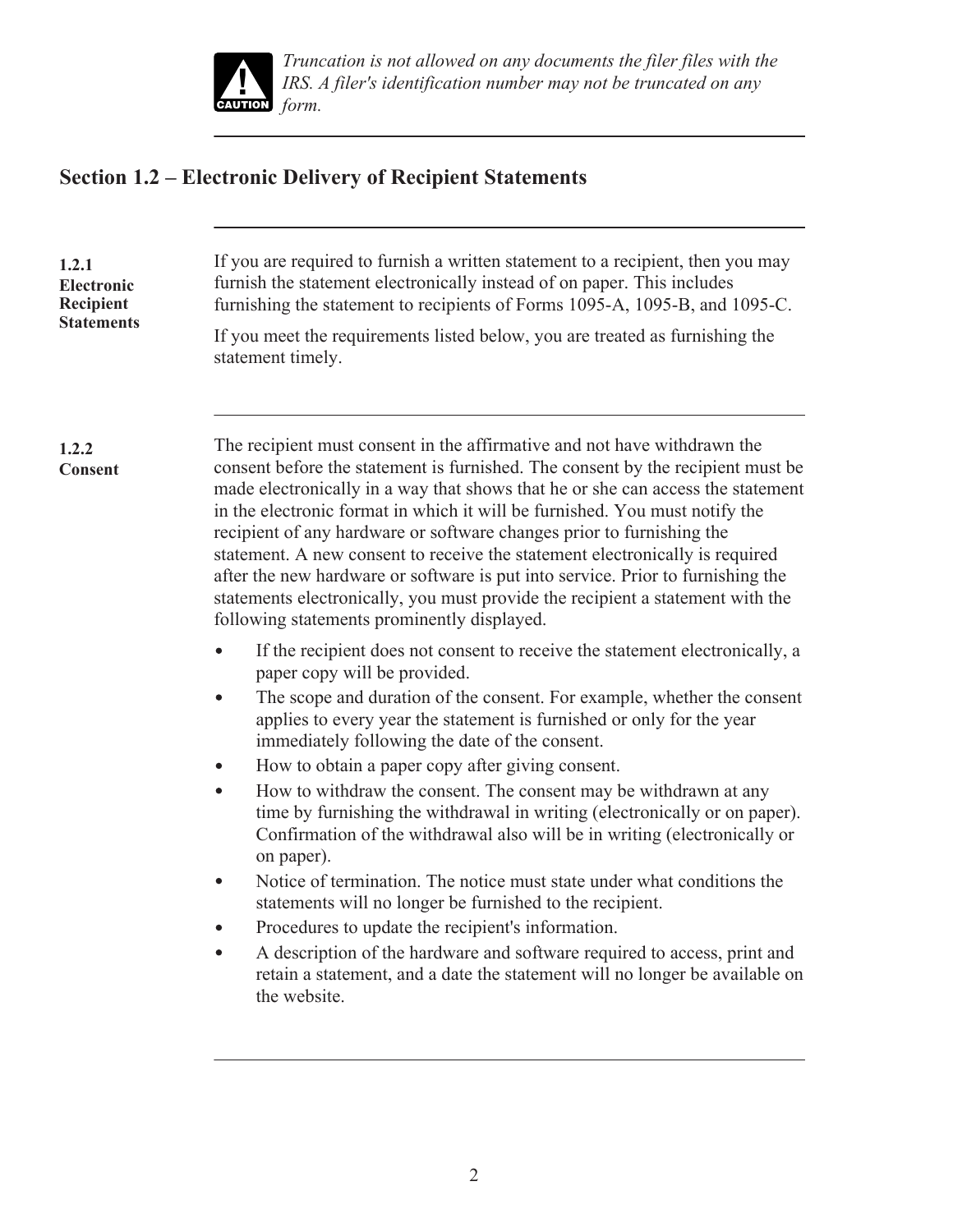

# <span id="page-3-0"></span>**Section 1.2 – Electronic Delivery of Recipient Statements**

| 1.2.1<br>Electronic<br>Recipient<br><b>Statements</b> | If you are required to furnish a written statement to a recipient, then you may<br>furnish the statement electronically instead of on paper. This includes<br>furnishing the statement to recipients of Forms 1095-A, 1095-B, and 1095-C.<br>If you meet the requirements listed below, you are treated as furnishing the<br>statement timely.                                                                                                                                                                                                                                                                                                                                                                                                                                                                                                                                                                                                                                                                                                                                                                                                                                                                                                                                                                                                                                                                                                                                                                                                                                                                                                                                                                                                              |
|-------------------------------------------------------|-------------------------------------------------------------------------------------------------------------------------------------------------------------------------------------------------------------------------------------------------------------------------------------------------------------------------------------------------------------------------------------------------------------------------------------------------------------------------------------------------------------------------------------------------------------------------------------------------------------------------------------------------------------------------------------------------------------------------------------------------------------------------------------------------------------------------------------------------------------------------------------------------------------------------------------------------------------------------------------------------------------------------------------------------------------------------------------------------------------------------------------------------------------------------------------------------------------------------------------------------------------------------------------------------------------------------------------------------------------------------------------------------------------------------------------------------------------------------------------------------------------------------------------------------------------------------------------------------------------------------------------------------------------------------------------------------------------------------------------------------------------|
| 1.2.2<br><b>Consent</b>                               | The recipient must consent in the affirmative and not have withdrawn the<br>consent before the statement is furnished. The consent by the recipient must be<br>made electronically in a way that shows that he or she can access the statement<br>in the electronic format in which it will be furnished. You must notify the<br>recipient of any hardware or software changes prior to furnishing the<br>statement. A new consent to receive the statement electronically is required<br>after the new hardware or software is put into service. Prior to furnishing the<br>statements electronically, you must provide the recipient a statement with the<br>following statements prominently displayed.<br>If the recipient does not consent to receive the statement electronically, a<br>paper copy will be provided.<br>The scope and duration of the consent. For example, whether the consent<br>$\bullet$<br>applies to every year the statement is furnished or only for the year<br>immediately following the date of the consent.<br>How to obtain a paper copy after giving consent.<br>How to withdraw the consent. The consent may be withdrawn at any<br>$\bullet$<br>time by furnishing the withdrawal in writing (electronically or on paper).<br>Confirmation of the withdrawal also will be in writing (electronically or<br>on paper).<br>Notice of termination. The notice must state under what conditions the<br>$\bullet$<br>statements will no longer be furnished to the recipient.<br>Procedures to update the recipient's information.<br>A description of the hardware and software required to access, print and<br>$\bullet$<br>retain a statement, and a date the statement will no longer be available on<br>the website. |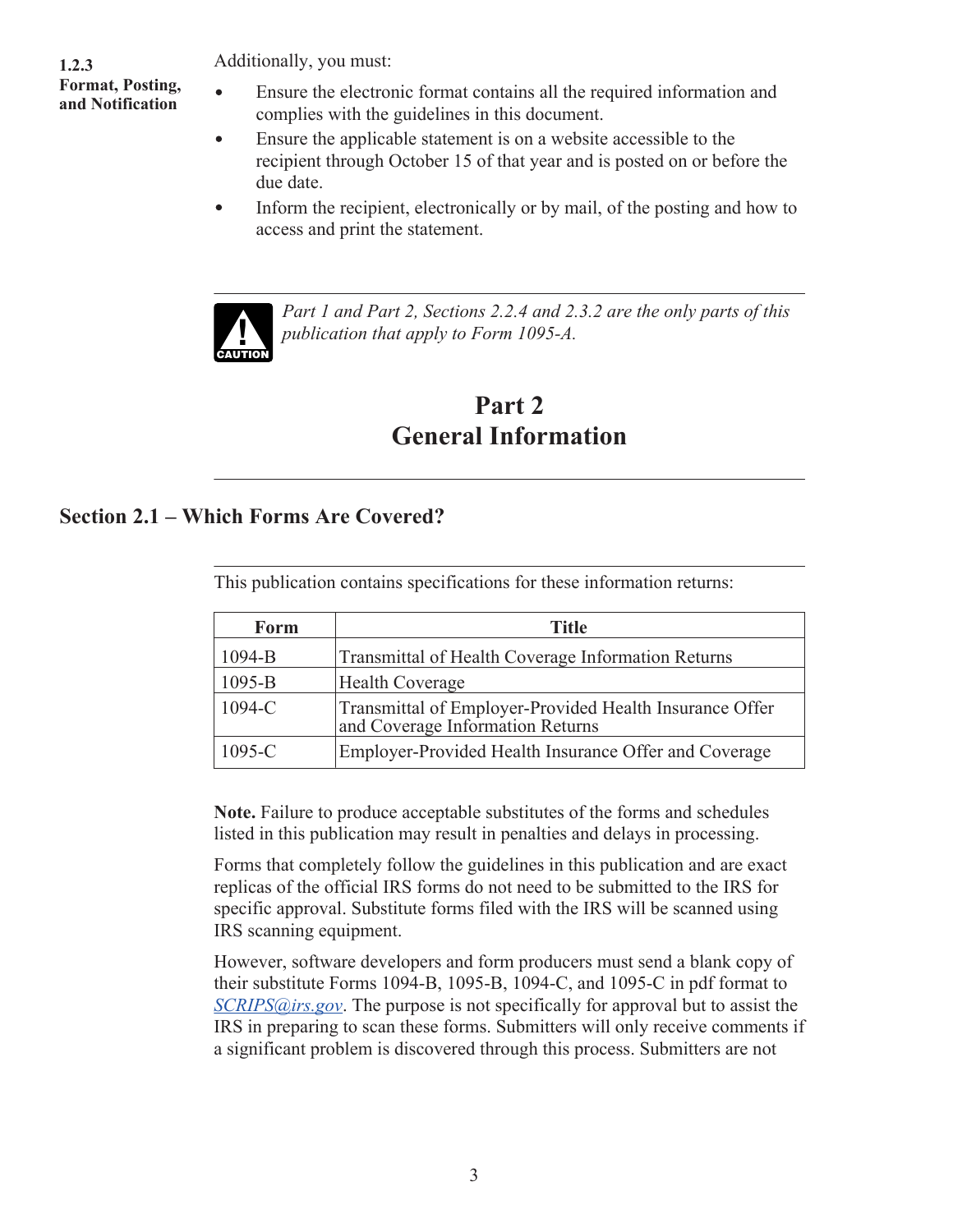<span id="page-4-0"></span>**1.2.3 Format, Posting, and Notification**

. Additionally, you must:

- Ensure the electronic format contains all the required information and complies with the guidelines in this document.
- Ensure the applicable statement is on a website accessible to the  $\bullet$ recipient through October 15 of that year and is posted on or before the due date.
- Inform the recipient, electronically or by mail, of the posting and how to  $\bullet$ access and print the statement.



 $\bullet$ 

*Part 1 and Part 2, Sections 2.2.4 and 2.3.2 are the only parts of this publication that apply to Form 1095-A.*

# **Part 2 General Information**

## **Section 2.1 – Which Forms Are Covered?**

This publication contains specifications for these information returns:

| Form       | <b>Title</b>                                                                                |
|------------|---------------------------------------------------------------------------------------------|
| $1094 - B$ | Transmittal of Health Coverage Information Returns                                          |
| $1095 - B$ | <b>Health Coverage</b>                                                                      |
| $1094 - C$ | Transmittal of Employer-Provided Health Insurance Offer<br>and Coverage Information Returns |
| $1095 - C$ | Employer-Provided Health Insurance Offer and Coverage                                       |

**Note.** Failure to produce acceptable substitutes of the forms and schedules listed in this publication may result in penalties and delays in processing.

Forms that completely follow the guidelines in this publication and are exact replicas of the official IRS forms do not need to be submitted to the IRS for specific approval. Substitute forms filed with the IRS will be scanned using IRS scanning equipment.

However, software developers and form producers must send a blank copy of their substitute Forms 1094-B, 1095-B, 1094-C, and 1095-C in pdf format to *SCRIPS@irs.gov*. The purpose is not specifically for approval but to assist the IRS in preparing to scan these forms. Submitters will only receive comments if a significant problem is discovered through this process. Submitters are not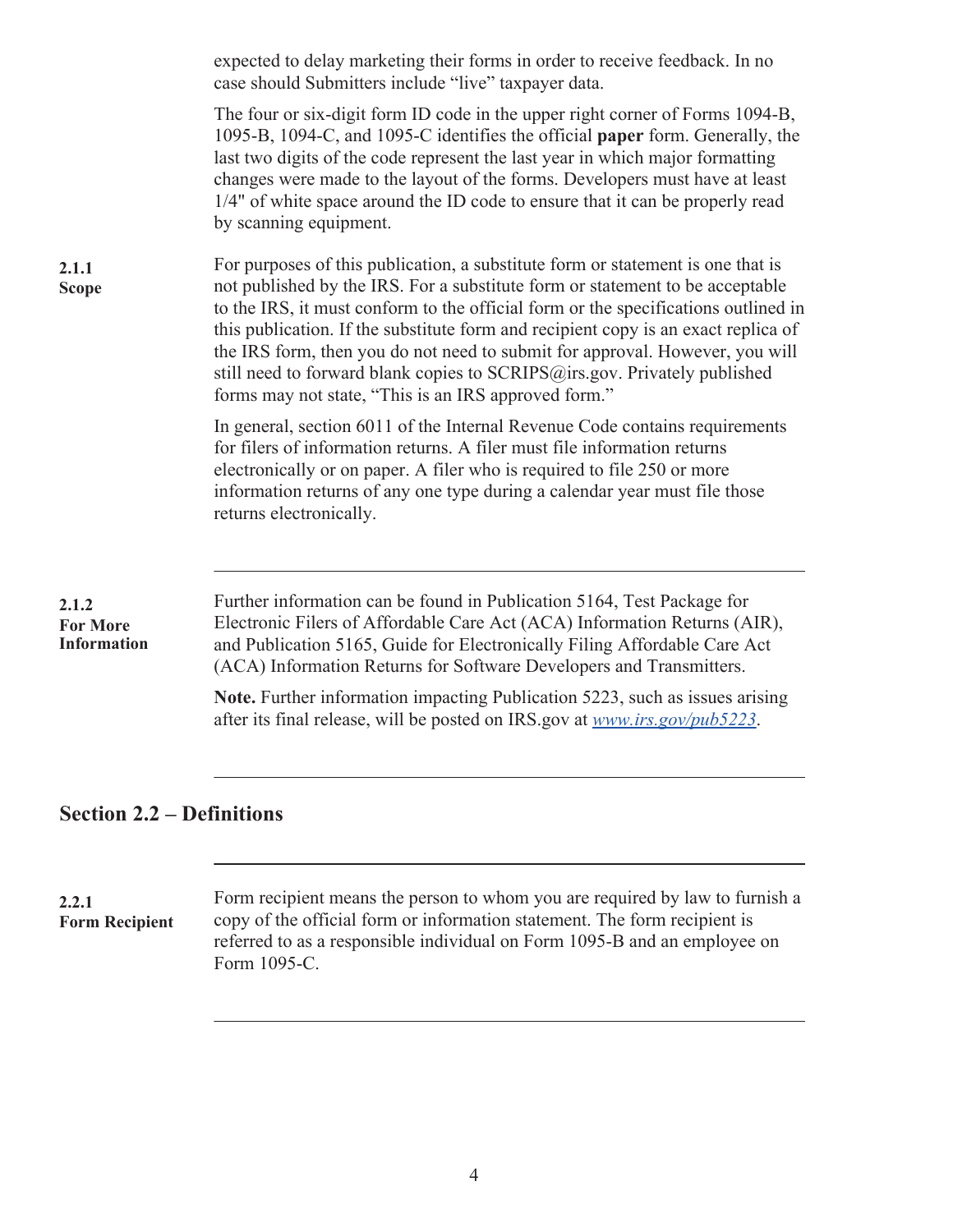<span id="page-5-0"></span>

|                                                | expected to delay marketing their forms in order to receive feedback. In no<br>case should Submitters include "live" taxpayer data.                                                                                                                                                                                                                                                                                                                                                                                                                               |
|------------------------------------------------|-------------------------------------------------------------------------------------------------------------------------------------------------------------------------------------------------------------------------------------------------------------------------------------------------------------------------------------------------------------------------------------------------------------------------------------------------------------------------------------------------------------------------------------------------------------------|
|                                                | The four or six-digit form ID code in the upper right corner of Forms 1094-B,<br>1095-B, 1094-C, and 1095-C identifies the official paper form. Generally, the<br>last two digits of the code represent the last year in which major formatting<br>changes were made to the layout of the forms. Developers must have at least<br>1/4" of white space around the ID code to ensure that it can be properly read<br>by scanning equipment.                                                                                                                         |
| 2.1.1<br><b>Scope</b>                          | For purposes of this publication, a substitute form or statement is one that is<br>not published by the IRS. For a substitute form or statement to be acceptable<br>to the IRS, it must conform to the official form or the specifications outlined in<br>this publication. If the substitute form and recipient copy is an exact replica of<br>the IRS form, then you do not need to submit for approval. However, you will<br>still need to forward blank copies to SCRIPS@irs.gov. Privately published<br>forms may not state, "This is an IRS approved form." |
|                                                | In general, section 6011 of the Internal Revenue Code contains requirements<br>for filers of information returns. A filer must file information returns<br>electronically or on paper. A filer who is required to file 250 or more<br>information returns of any one type during a calendar year must file those<br>returns electronically.                                                                                                                                                                                                                       |
| 2.1.2<br><b>For More</b><br><b>Information</b> | Further information can be found in Publication 5164, Test Package for<br>Electronic Filers of Affordable Care Act (ACA) Information Returns (AIR),<br>and Publication 5165, Guide for Electronically Filing Affordable Care Act<br>(ACA) Information Returns for Software Developers and Transmitters.                                                                                                                                                                                                                                                           |
|                                                | Note. Further information impacting Publication 5223, such as issues arising<br>after its final release, will be posted on IRS gov at www.irs.gov/pub5223.                                                                                                                                                                                                                                                                                                                                                                                                        |
| <b>Section 2.2 – Definitions</b>               |                                                                                                                                                                                                                                                                                                                                                                                                                                                                                                                                                                   |

. Form recipient means the person to whom you are required by law to furnish a copy of the official form or information statement. The form recipient is referred to as a responsible individual on Form 1095-B and an employee on Form 1095-C. **2.2.1 Form Recipient**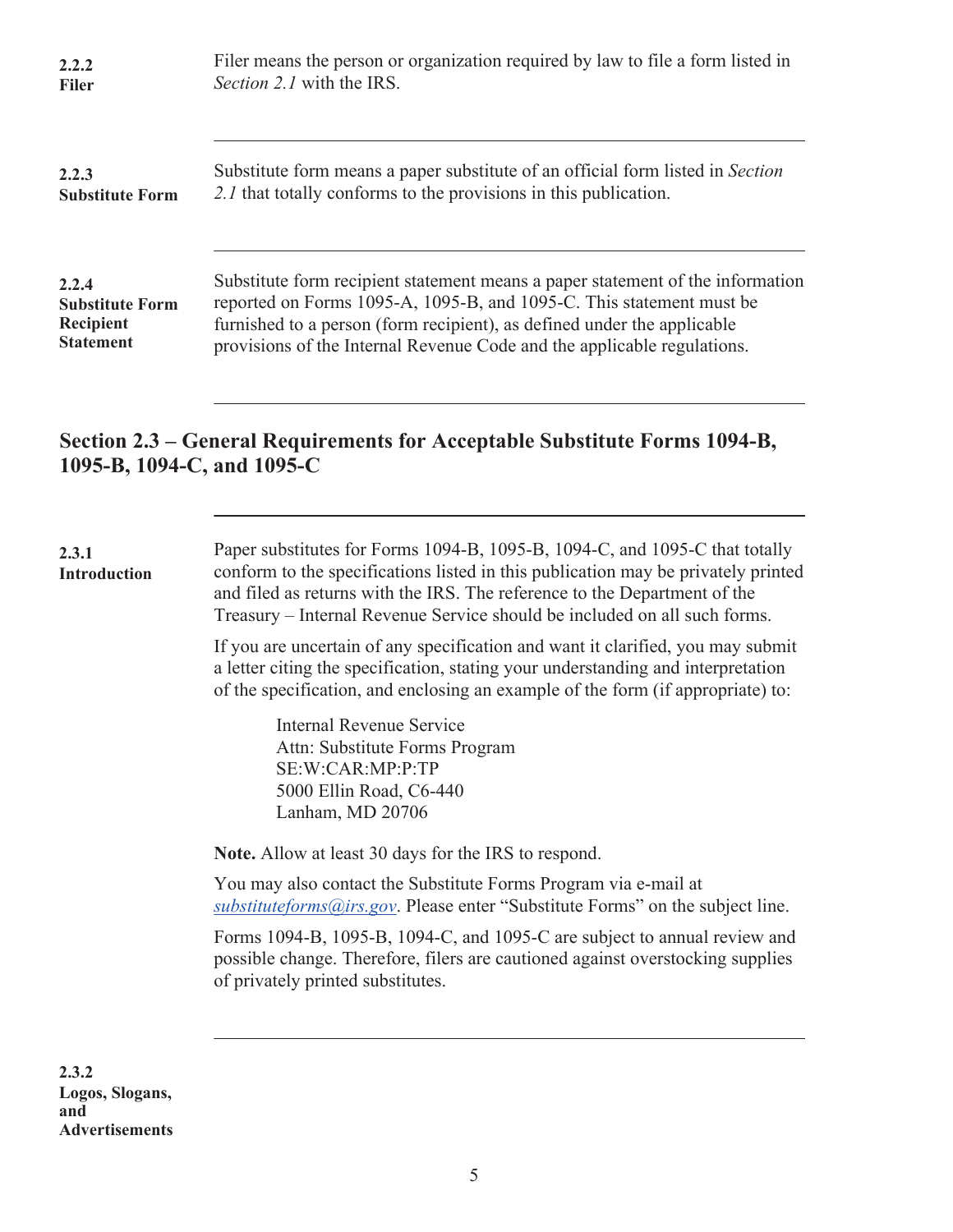<span id="page-6-0"></span>

| 2.2.2                  | Filer means the person or organization required by law to file a form listed in |
|------------------------|---------------------------------------------------------------------------------|
| <b>Filer</b>           | Section 2.1 with the IRS.                                                       |
| 2.2.3                  | Substitute form means a paper substitute of an official form listed in Section  |
| <b>Substitute Form</b> | 2.1 that totally conforms to the provisions in this publication.                |
| 2.2.4                  | Substitute form recipient statement means a paper statement of the information  |
| <b>Substitute Form</b> | reported on Forms 1095-A, 1095-B, and 1095-C. This statement must be            |
| Recipient              | furnished to a person (form recipient), as defined under the applicable         |
| <b>Statement</b>       | provisions of the Internal Revenue Code and the applicable regulations.         |

## **Section 2.3 – General Requirements for Acceptable Substitute Forms 1094-B, 1095-B, 1094-C, and 1095-C**

| 2.3.1<br><b>Introduction</b> | Paper substitutes for Forms 1094-B, 1095-B, 1094-C, and 1095-C that totally<br>conform to the specifications listed in this publication may be privately printed<br>and filed as returns with the IRS. The reference to the Department of the<br>Treasury – Internal Revenue Service should be included on all such forms. |
|------------------------------|----------------------------------------------------------------------------------------------------------------------------------------------------------------------------------------------------------------------------------------------------------------------------------------------------------------------------|
|                              | If you are uncertain of any specification and want it clarified, you may submit<br>a letter citing the specification, stating your understanding and interpretation<br>of the specification, and enclosing an example of the form (if appropriate) to:                                                                     |
|                              | Internal Revenue Service<br>Attn: Substitute Forms Program<br>SE:W:CAR:MP:P:TP<br>5000 Ellin Road, C6-440<br>Lanham, MD 20706                                                                                                                                                                                              |
|                              | Note. Allow at least 30 days for the IRS to respond.                                                                                                                                                                                                                                                                       |
|                              | You may also contact the Substitute Forms Program via e-mail at<br>$substituteforms@irs.gov$ . Please enter "Substitute Forms" on the subject line.                                                                                                                                                                        |
|                              | Forms 1094-B, 1095-B, 1094-C, and 1095-C are subject to annual review and<br>possible change. Therefore, filers are cautioned against overstocking supplies<br>of privately printed substitutes.                                                                                                                           |
|                              |                                                                                                                                                                                                                                                                                                                            |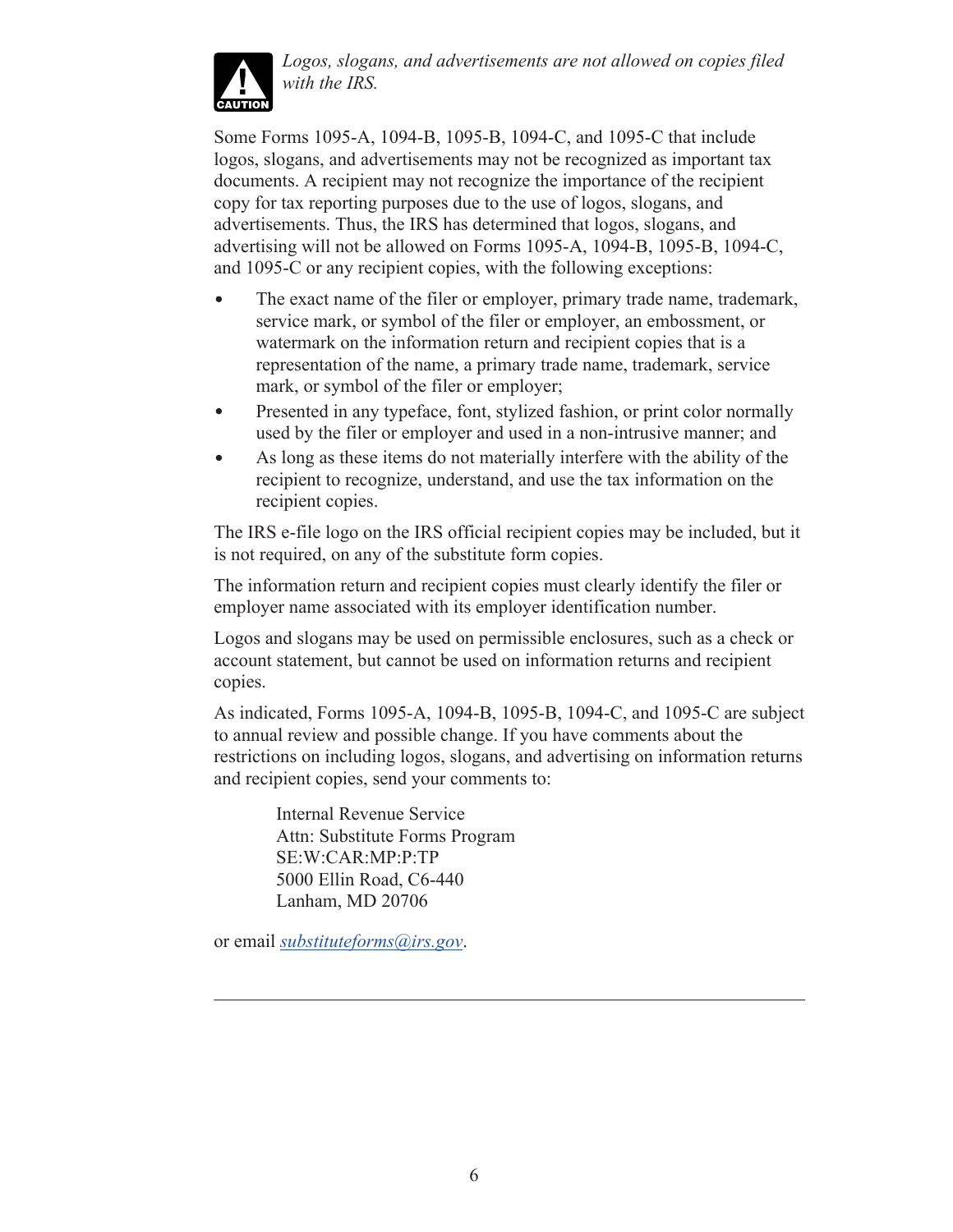

*Logos, slogans, and advertisements are not allowed on copies filed with the IRS.*

Some Forms 1095-A, 1094-B, 1095-B, 1094-C, and 1095-C that include logos, slogans, and advertisements may not be recognized as important tax documents. A recipient may not recognize the importance of the recipient copy for tax reporting purposes due to the use of logos, slogans, and advertisements. Thus, the IRS has determined that logos, slogans, and advertising will not be allowed on Forms 1095-A, 1094-B, 1095-B, 1094-C, and 1095-C or any recipient copies, with the following exceptions:

- $\bullet$ The exact name of the filer or employer, primary trade name, trademark, service mark, or symbol of the filer or employer, an embossment, or watermark on the information return and recipient copies that is a representation of the name, a primary trade name, trademark, service mark, or symbol of the filer or employer;
- Presented in any typeface, font, stylized fashion, or print color normally  $\bullet$ used by the filer or employer and used in a non-intrusive manner; and
- As long as these items do not materially interfere with the ability of the  $\bullet$ recipient to recognize, understand, and use the tax information on the recipient copies.

The IRS e-file logo on the IRS official recipient copies may be included, but it is not required, on any of the substitute form copies.

The information return and recipient copies must clearly identify the filer or employer name associated with its employer identification number.

Logos and slogans may be used on permissible enclosures, such as a check or account statement, but cannot be used on information returns and recipient copies.

As indicated, Forms 1095-A, 1094-B, 1095-B, 1094-C, and 1095-C are subject to annual review and possible change. If you have comments about the restrictions on including logos, slogans, and advertising on information returns and recipient copies, send your comments to:

> Internal Revenue Service Attn: Substitute Forms Program SE:W:CAR:MP:P:TP 5000 Ellin Road, C6-440 Lanham, MD 20706

or email *[substituteforms@irs.gov](mailto:substituteforms@irs.gov)*.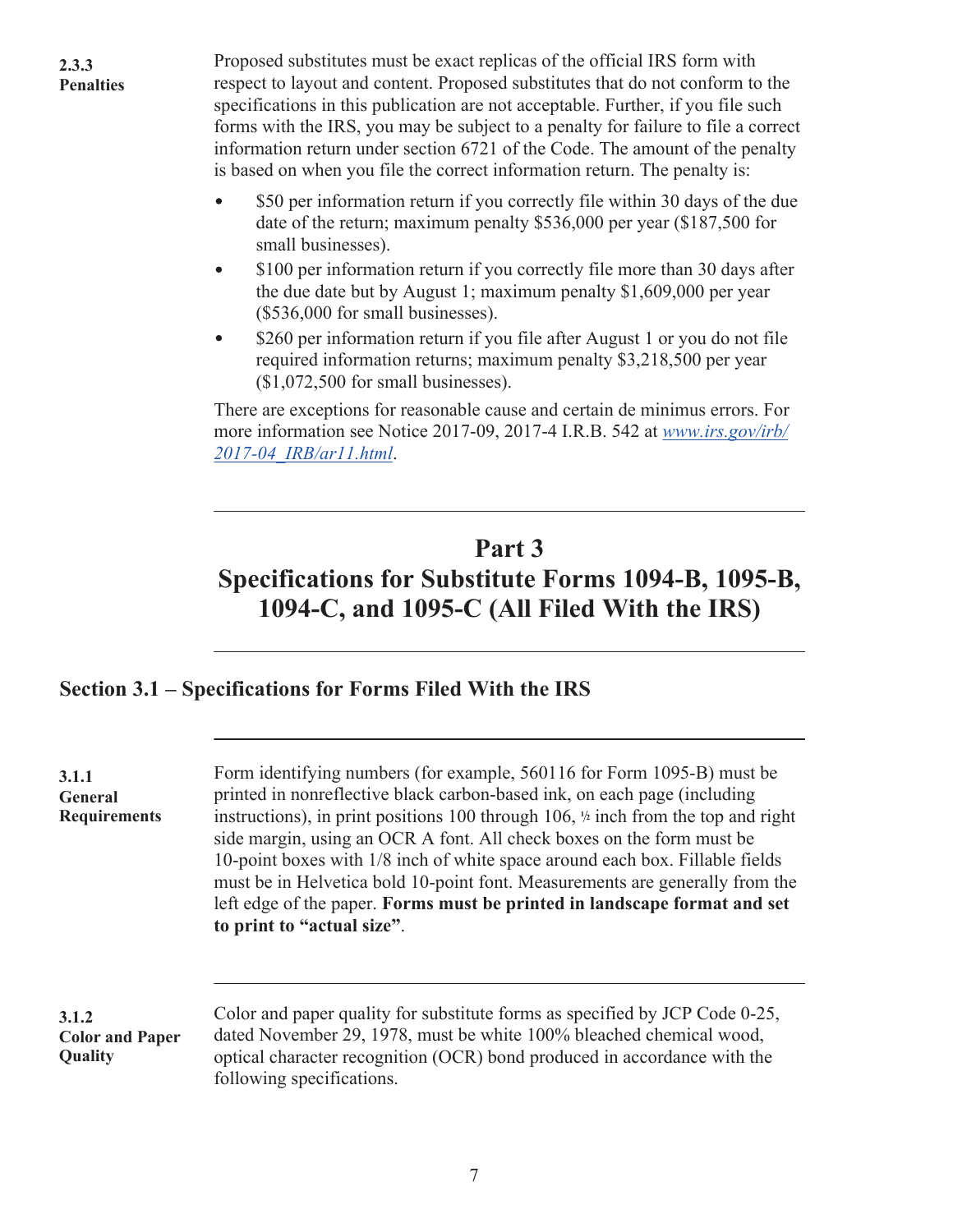**3.1.1 General** 

<span id="page-8-0"></span>. Proposed substitutes must be exact replicas of the official IRS form with respect to layout and content. Proposed substitutes that do not conform to the specifications in this publication are not acceptable. Further, if you file such forms with the IRS, you may be subject to a penalty for failure to file a correct information return under section 6721 of the Code. The amount of the penalty is based on when you file the correct information return. The penalty is:

- \$50 per information return if you correctly file within 30 days of the due date of the return; maximum penalty \$536,000 per year (\$187,500 for small businesses).
- \$100 per information return if you correctly file more than 30 days after  $\bullet$ the due date but by August 1; maximum penalty \$1,609,000 per year (\$536,000 for small businesses).
- \$260 per information return if you file after August 1 or you do not file  $\bullet$ required information returns; maximum penalty \$3,218,500 per year (\$1,072,500 for small businesses).

There are exceptions for reasonable cause and certain de minimus errors. For more information see Notice 2017-09, 2017-4 I.R.B. 542 at *[www.irs.gov/irb/](https://www.irs.gov/irb/2017-04_IRB/ar11.html) [2017-04\\_IRB/ar11.html](https://www.irs.gov/irb/2017-04_IRB/ar11.html)*.

# **Part 3 Specifications for Substitute Forms 1094-B, 1095-B, 1094-C, and 1095-C (All Filed With the IRS)**

## **Section 3.1 – Specifications for Forms Filed With the IRS**

. Form identifying numbers (for example, 560116 for Form 1095-B) must be printed in nonreflective black carbon-based ink, on each page (including instructions), in print positions 100 through 106, **<sup>1</sup> <sup>2</sup>** inch from the top and right side margin, using an OCR A font. All check boxes on the form must be 10-point boxes with 1/8 inch of white space around each box. Fillable fields must be in Helvetica bold 10-point font. Measurements are generally from the left edge of the paper. **Forms must be printed in landscape format and set to print to "actual size"**. **Requirements**

. Color and paper quality for substitute forms as specified by JCP Code 0-25, dated November 29, 1978, must be white 100% bleached chemical wood, optical character recognition (OCR) bond produced in accordance with the following specifications. **3.1.2 Color and Paper Quality**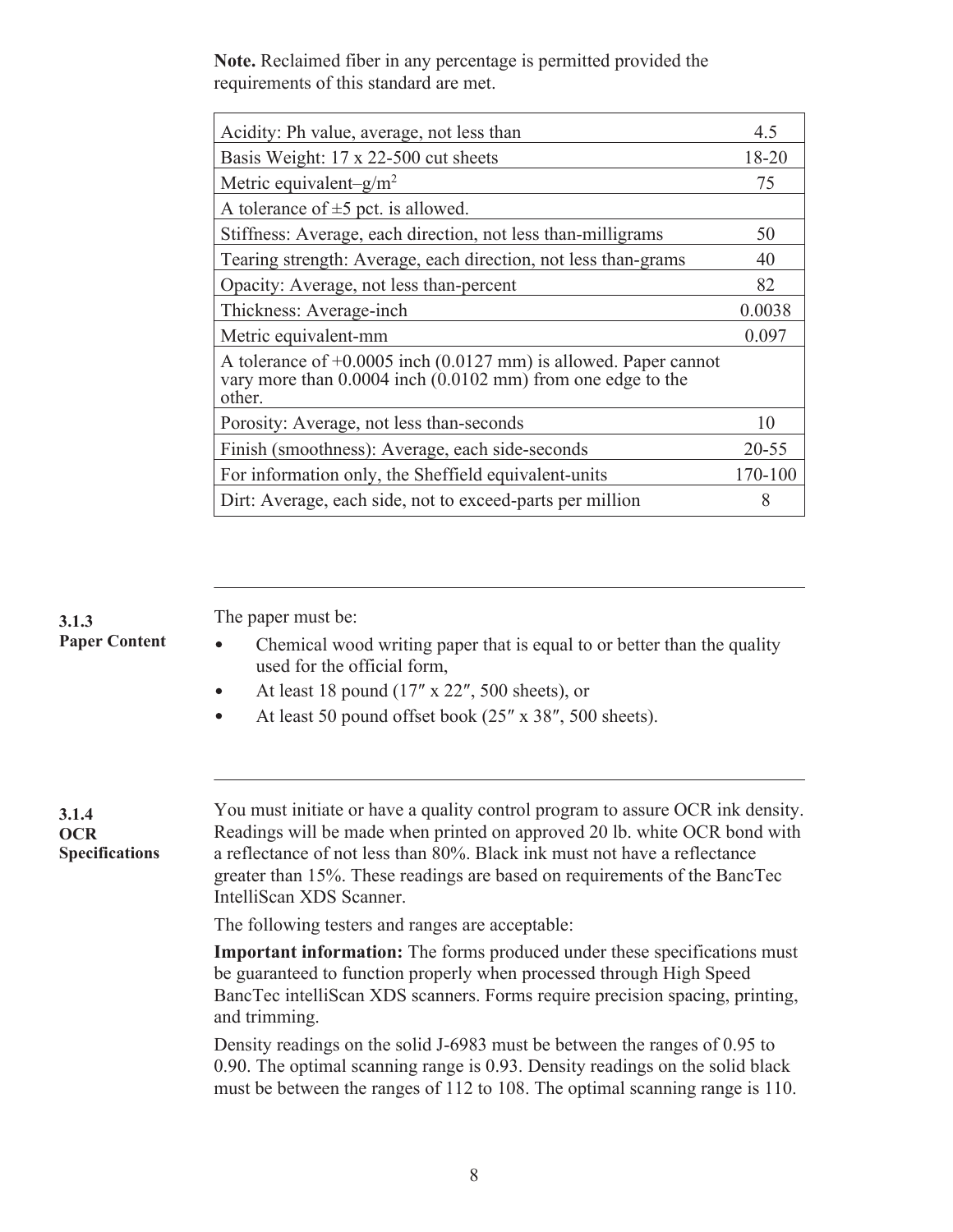**Note.** Reclaimed fiber in any percentage is permitted provided the requirements of this standard are met.

| Acidity: Ph value, average, not less than                                                                                                               | 4.5       |
|---------------------------------------------------------------------------------------------------------------------------------------------------------|-----------|
| Basis Weight: 17 x 22-500 cut sheets                                                                                                                    | 18-20     |
| Metric equivalent- $g/m^2$                                                                                                                              | 75        |
| A tolerance of $\pm$ 5 pct. is allowed.                                                                                                                 |           |
| Stiffness: Average, each direction, not less than-milligrams                                                                                            | 50        |
| Tearing strength: Average, each direction, not less than-grams                                                                                          | 40        |
| Opacity: Average, not less than-percent                                                                                                                 | 82        |
| Thickness: Average-inch                                                                                                                                 | 0.0038    |
| Metric equivalent-mm                                                                                                                                    | 0.097     |
| A tolerance of $+0.0005$ inch (0.0127 mm) is allowed. Paper cannot<br>vary more than $0.0004$ inch $(0.0102 \text{ mm})$ from one edge to the<br>other. |           |
| Porosity: Average, not less than-seconds                                                                                                                | 10        |
| Finish (smoothness): Average, each side-seconds                                                                                                         | $20 - 55$ |
| For information only, the Sheffield equivalent-units                                                                                                    | 170-100   |
| Dirt: Average, each side, not to exceed-parts per million                                                                                               | 8         |

**3.1.3 Paper Content** . The paper must be:

- Chemical wood writing paper that is equal to or better than the quality  $\bullet$ used for the official form,
- $\bullet$ At least 18 pound (17″ x 22″, 500 sheets), or
- At least 50 pound offset book (25″ x 38″, 500 sheets).  $\bullet$

**3.1.4 OCR Specifications**

. You must initiate or have a quality control program to assure OCR ink density. Readings will be made when printed on approved 20 lb. white OCR bond with a reflectance of not less than 80%. Black ink must not have a reflectance greater than 15%. These readings are based on requirements of the BancTec IntelliScan XDS Scanner.

The following testers and ranges are acceptable:

**Important information:** The forms produced under these specifications must be guaranteed to function properly when processed through High Speed BancTec intelliScan XDS scanners. Forms require precision spacing, printing, and trimming.

Density readings on the solid J-6983 must be between the ranges of 0.95 to 0.90. The optimal scanning range is 0.93. Density readings on the solid black must be between the ranges of 112 to 108. The optimal scanning range is 110.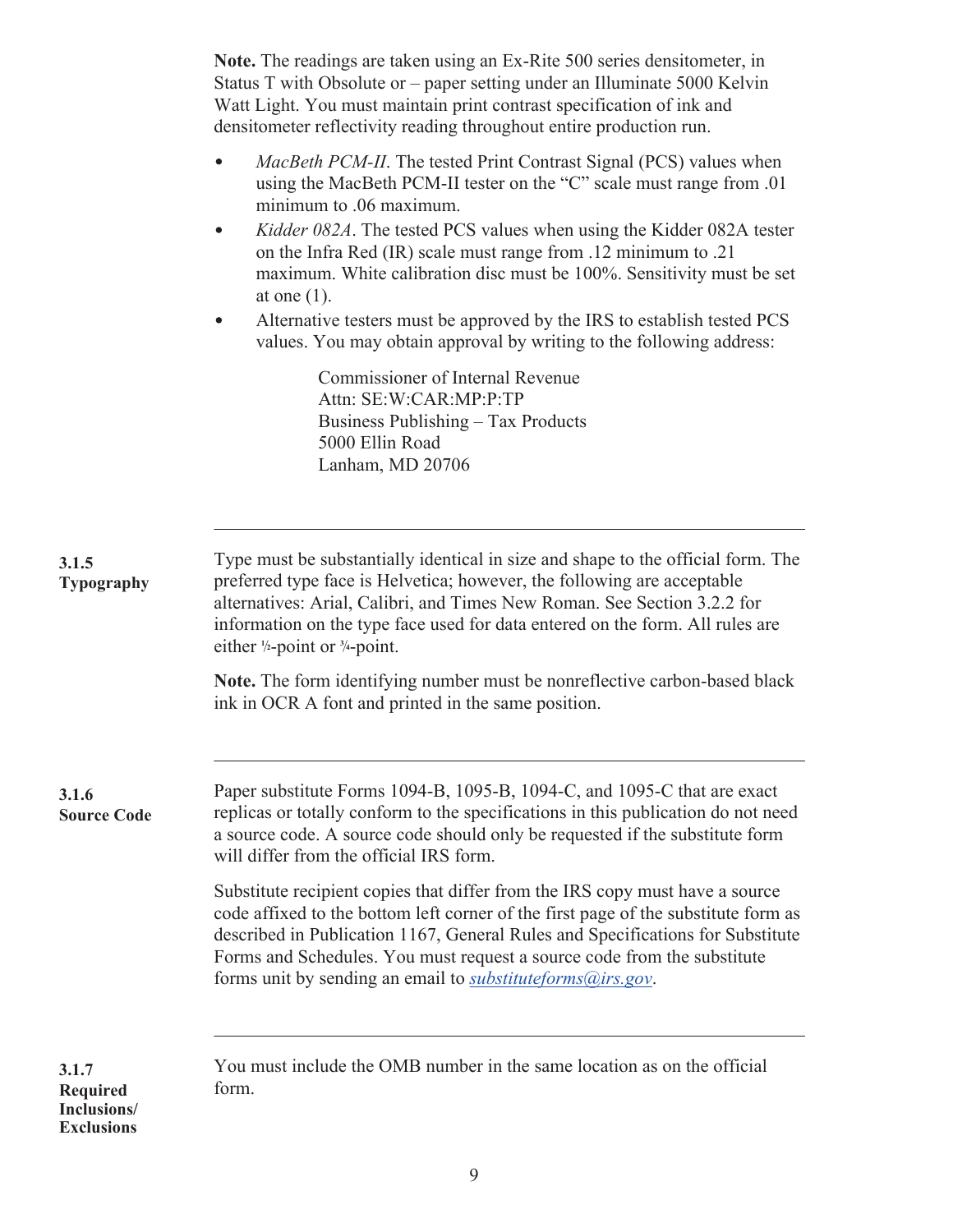|                                                                                                                                                              | Note. The readings are taken using an Ex-Rite 500 series densitometer, in<br>Status T with Obsolute or – paper setting under an Illuminate 5000 Kelvin<br>Watt Light. You must maintain print contrast specification of ink and<br>densitometer reflectivity reading throughout entire production run.                                                                                                                                      |  |  |  |  |  |  |  |  |
|--------------------------------------------------------------------------------------------------------------------------------------------------------------|---------------------------------------------------------------------------------------------------------------------------------------------------------------------------------------------------------------------------------------------------------------------------------------------------------------------------------------------------------------------------------------------------------------------------------------------|--|--|--|--|--|--|--|--|
|                                                                                                                                                              | <i>MacBeth PCM-II.</i> The tested Print Contrast Signal (PCS) values when<br>$\bullet$<br>using the MacBeth PCM-II tester on the "C" scale must range from .01<br>minimum to .06 maximum.<br>Kidder 082A. The tested PCS values when using the Kidder 082A tester<br>$\bullet$<br>on the Infra Red (IR) scale must range from .12 minimum to .21<br>maximum. White calibration disc must be 100%. Sensitivity must be set<br>at one $(1)$ . |  |  |  |  |  |  |  |  |
| Alternative testers must be approved by the IRS to establish tested PCS<br>$\bullet$<br>values. You may obtain approval by writing to the following address: |                                                                                                                                                                                                                                                                                                                                                                                                                                             |  |  |  |  |  |  |  |  |
|                                                                                                                                                              | Commissioner of Internal Revenue<br>Attn: SE:W:CAR:MP:P:TP<br>Business Publishing – Tax Products<br>5000 Ellin Road<br>Lanham, MD 20706                                                                                                                                                                                                                                                                                                     |  |  |  |  |  |  |  |  |
|                                                                                                                                                              |                                                                                                                                                                                                                                                                                                                                                                                                                                             |  |  |  |  |  |  |  |  |
| 3.1.5<br>Typography                                                                                                                                          | Type must be substantially identical in size and shape to the official form. The<br>preferred type face is Helvetica; however, the following are acceptable<br>alternatives: Arial, Calibri, and Times New Roman. See Section 3.2.2 for<br>information on the type face used for data entered on the form. All rules are<br>either $\frac{1}{2}$ -point or $\frac{3}{4}$ -point.                                                            |  |  |  |  |  |  |  |  |
|                                                                                                                                                              | Note. The form identifying number must be nonreflective carbon-based black<br>ink in OCR A font and printed in the same position.                                                                                                                                                                                                                                                                                                           |  |  |  |  |  |  |  |  |
| 3.1.6<br><b>Source Code</b>                                                                                                                                  | Paper substitute Forms 1094-B, 1095-B, 1094-C, and 1095-C that are exact<br>replicas or totally conform to the specifications in this publication do not need<br>a source code. A source code should only be requested if the substitute form<br>will differ from the official IRS form.                                                                                                                                                    |  |  |  |  |  |  |  |  |
|                                                                                                                                                              | Substitute recipient copies that differ from the IRS copy must have a source<br>code affixed to the bottom left corner of the first page of the substitute form as<br>described in Publication 1167, General Rules and Specifications for Substitute<br>Forms and Schedules. You must request a source code from the substitute<br>forms unit by sending an email to <i>substituteforms@irs.gov</i> .                                       |  |  |  |  |  |  |  |  |
| 3.1.7<br><b>Required</b><br>Inclusions/                                                                                                                      | You must include the OMB number in the same location as on the official<br>form.                                                                                                                                                                                                                                                                                                                                                            |  |  |  |  |  |  |  |  |

**Exclusions**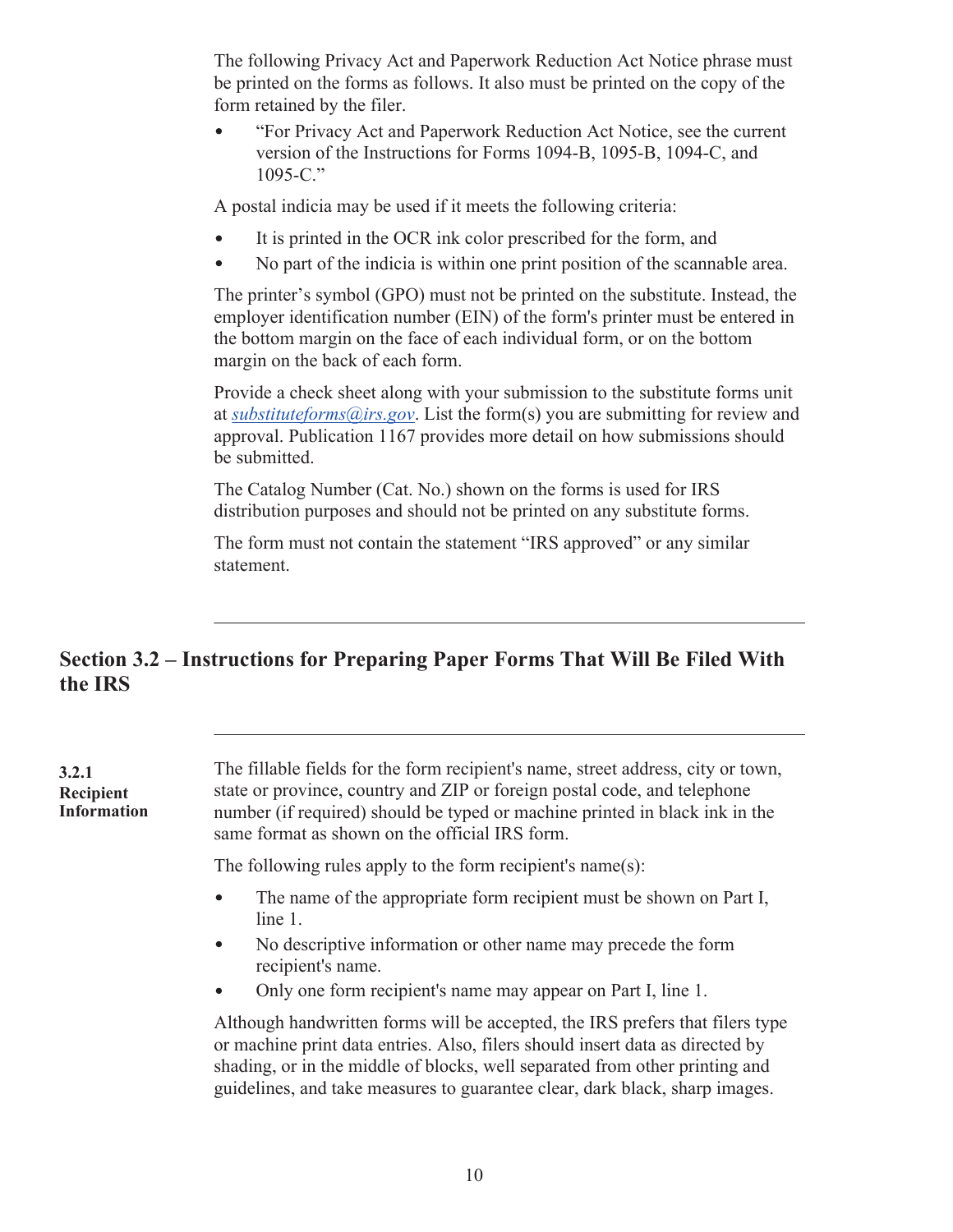<span id="page-11-0"></span>The following Privacy Act and Paperwork Reduction Act Notice phrase must be printed on the forms as follows. It also must be printed on the copy of the form retained by the filer.

"For Privacy Act and Paperwork Reduction Act Notice, see the current version of the Instructions for Forms 1094-B, 1095-B, 1094-C, and 1095-C."

A postal indicia may be used if it meets the following criteria:

- It is printed in the OCR ink color prescribed for the form, and
- No part of the indicia is within one print position of the scannable area.

The printer's symbol (GPO) must not be printed on the substitute. Instead, the employer identification number (EIN) of the form's printer must be entered in the bottom margin on the face of each individual form, or on the bottom margin on the back of each form.

Provide a check sheet along with your submission to the substitute forms unit at *[substituteforms@irs.gov](mailto:substituteforms@irs.gov)*. List the form(s) you are submitting for review and approval. Publication 1167 provides more detail on how submissions should be submitted.

The Catalog Number (Cat. No.) shown on the forms is used for IRS distribution purposes and should not be printed on any substitute forms.

The form must not contain the statement "IRS approved" or any similar statement.

## **Section 3.2 – Instructions for Preparing Paper Forms That Will Be Filed With the IRS**

**3.2.1 Recipient Information**

. The fillable fields for the form recipient's name, street address, city or town, state or province, country and ZIP or foreign postal code, and telephone number (if required) should be typed or machine printed in black ink in the same format as shown on the official IRS form.

The following rules apply to the form recipient's name(s):

- $\bullet$ The name of the appropriate form recipient must be shown on Part I, line 1.
- No descriptive information or other name may precede the form  $\bullet$ recipient's name.
- Only one form recipient's name may appear on Part I, line 1.  $\bullet$

Although handwritten forms will be accepted, the IRS prefers that filers type or machine print data entries. Also, filers should insert data as directed by shading, or in the middle of blocks, well separated from other printing and guidelines, and take measures to guarantee clear, dark black, sharp images.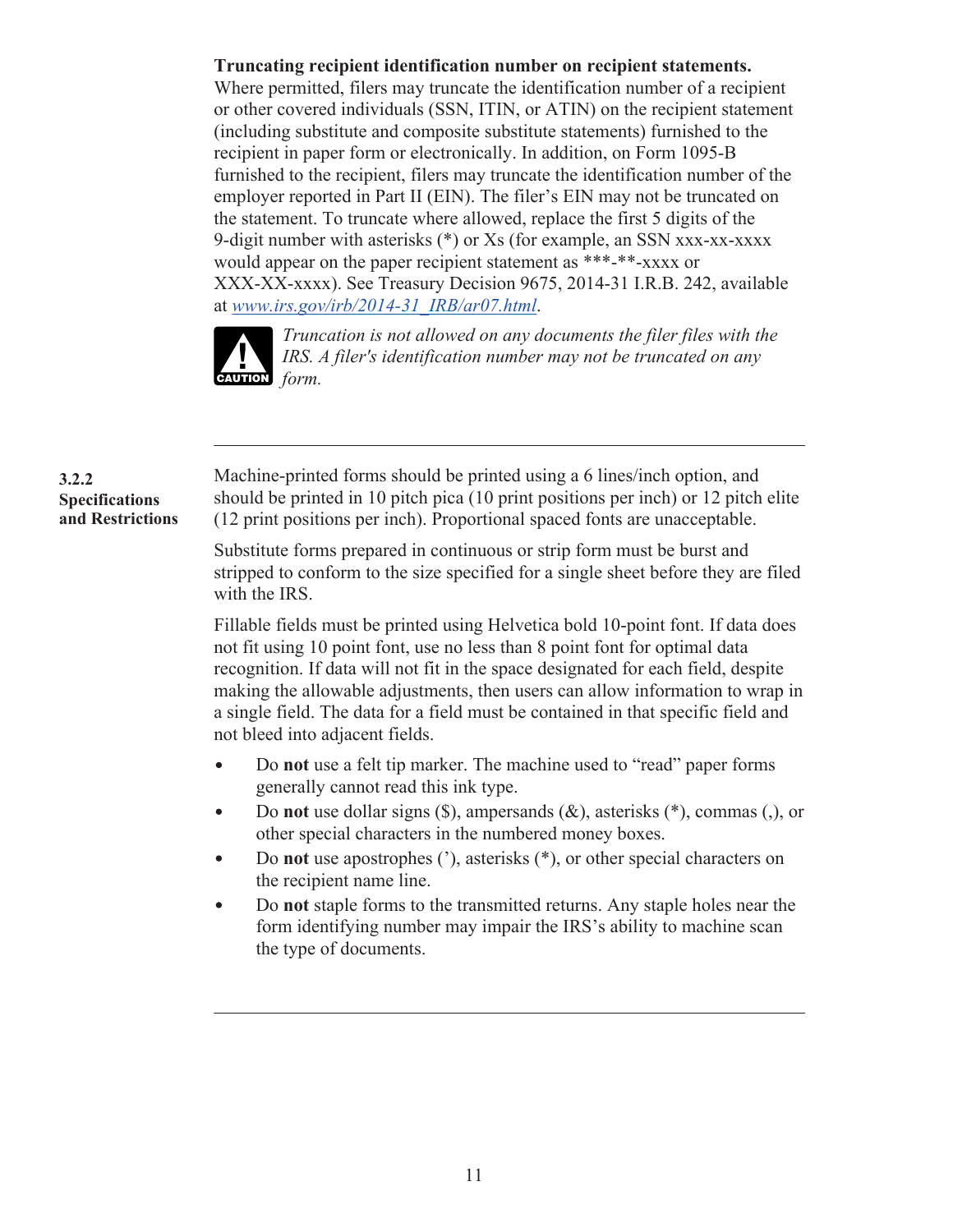#### **Truncating recipient identification number on recipient statements.**

Where permitted, filers may truncate the identification number of a recipient or other covered individuals (SSN, ITIN, or ATIN) on the recipient statement (including substitute and composite substitute statements) furnished to the recipient in paper form or electronically. In addition, on Form 1095-B furnished to the recipient, filers may truncate the identification number of the employer reported in Part II (EIN). The filer's EIN may not be truncated on the statement. To truncate where allowed, replace the first 5 digits of the 9-digit number with asterisks (\*) or Xs (for example, an SSN xxx-xx-xxxx would appear on the paper recipient statement as \*\*\*-\*\*-xxxx or XXX-XX-xxxx). See Treasury Decision 9675, 2014-31 I.R.B. 242, available at *[www.irs.gov/irb/2014-31\\_IRB/ar07.html](https://www.irs.gov/irb/2014-31_IRB/ar07.html)*.



*Truncation is not allowed on any documents the filer files with the IRS. A filer's identification number may not be truncated on any FORMERS*.

#### **3.2.2 Specifications and Restrictions**

.Machine-printed forms should be printed using a 6 lines/inch option, and should be printed in 10 pitch pica (10 print positions per inch) or 12 pitch elite (12 print positions per inch). Proportional spaced fonts are unacceptable.

Substitute forms prepared in continuous or strip form must be burst and stripped to conform to the size specified for a single sheet before they are filed with the IRS.

Fillable fields must be printed using Helvetica bold 10-point font. If data does not fit using 10 point font, use no less than 8 point font for optimal data recognition. If data will not fit in the space designated for each field, despite making the allowable adjustments, then users can allow information to wrap in a single field. The data for a field must be contained in that specific field and not bleed into adjacent fields.

- Do **not** use a felt tip marker. The machine used to "read" paper forms  $\bullet$ generally cannot read this ink type.
- Do **not** use dollar signs (\$), ampersands (&), asterisks (\*), commas (,), or  $\bullet$ other special characters in the numbered money boxes.
- Do **not** use apostrophes ('), asterisks (\*), or other special characters on  $\bullet$ the recipient name line.
- $\bullet$ Do **not** staple forms to the transmitted returns. Any staple holes near the form identifying number may impair the IRS's ability to machine scan the type of documents.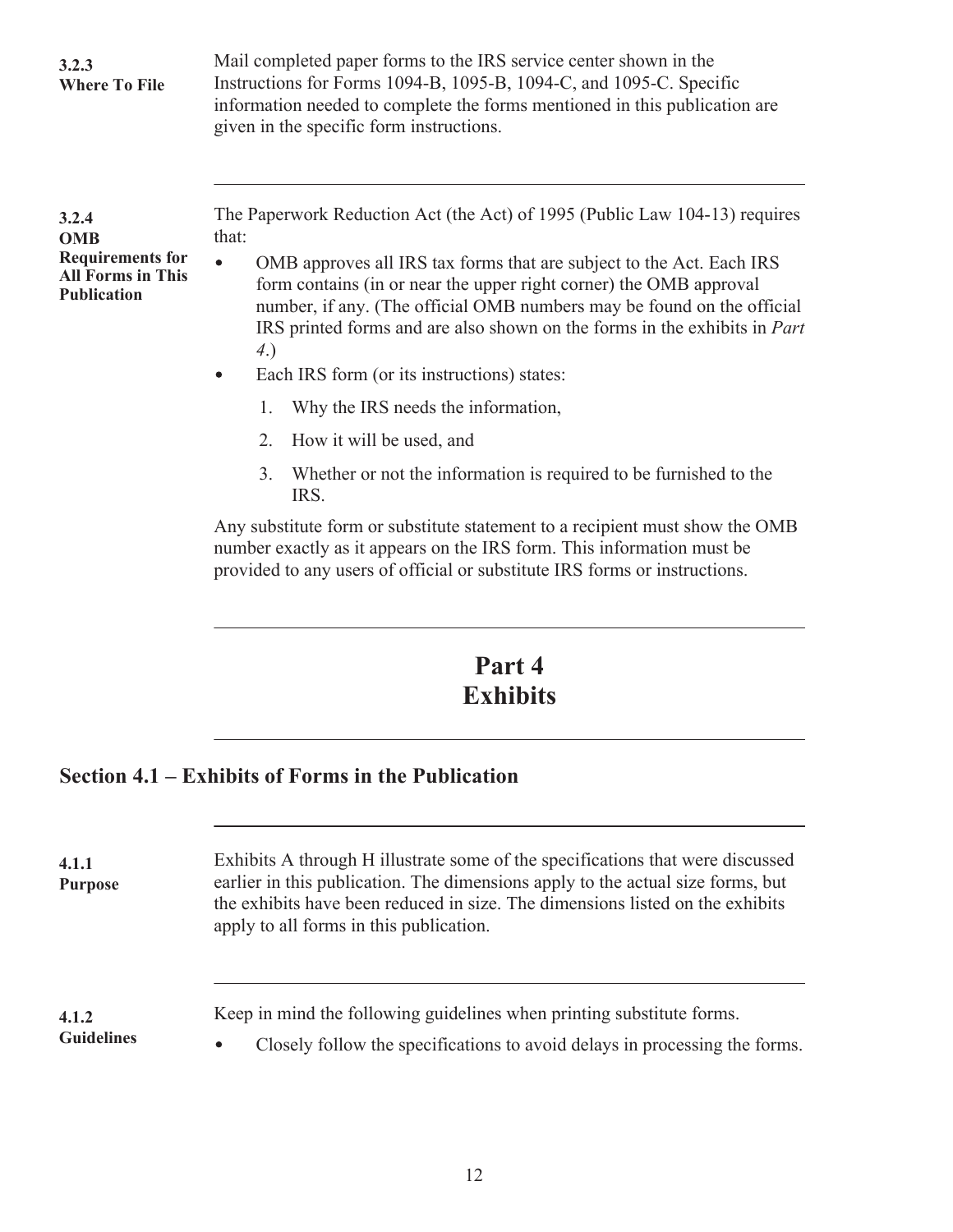<span id="page-13-0"></span>

| 3.2.3<br><b>Where To File</b>                                                                    | Mail completed paper forms to the IRS service center shown in the<br>Instructions for Forms 1094-B, 1095-B, 1094-C, and 1095-C. Specific<br>information needed to complete the forms mentioned in this publication are<br>given in the specific form instructions.                                                                                                                                                                                                                                                                                                                                                                                                                                                                                                                                                                                                                |  |  |  |  |  |  |  |  |
|--------------------------------------------------------------------------------------------------|-----------------------------------------------------------------------------------------------------------------------------------------------------------------------------------------------------------------------------------------------------------------------------------------------------------------------------------------------------------------------------------------------------------------------------------------------------------------------------------------------------------------------------------------------------------------------------------------------------------------------------------------------------------------------------------------------------------------------------------------------------------------------------------------------------------------------------------------------------------------------------------|--|--|--|--|--|--|--|--|
| 3.2.4<br><b>OMB</b><br><b>Requirements for</b><br><b>All Forms in This</b><br><b>Publication</b> | The Paperwork Reduction Act (the Act) of 1995 (Public Law 104-13) requires<br>that:<br>OMB approves all IRS tax forms that are subject to the Act. Each IRS<br>$\bullet$<br>form contains (in or near the upper right corner) the OMB approval<br>number, if any. (The official OMB numbers may be found on the official<br>IRS printed forms and are also shown on the forms in the exhibits in Part<br>4.)<br>Each IRS form (or its instructions) states:<br>$\bullet$<br>Why the IRS needs the information,<br>1.<br>How it will be used, and<br>2.<br>Whether or not the information is required to be furnished to the<br>3.<br>IRS.<br>Any substitute form or substitute statement to a recipient must show the OMB<br>number exactly as it appears on the IRS form. This information must be<br>provided to any users of official or substitute IRS forms or instructions. |  |  |  |  |  |  |  |  |

# **Part 4 Exhibits**

# **Section 4.1 – Exhibits of Forms in the Publication**

| 4.1.1<br><b>Purpose</b>    | Exhibits A through H illustrate some of the specifications that were discussed<br>earlier in this publication. The dimensions apply to the actual size forms, but<br>the exhibits have been reduced in size. The dimensions listed on the exhibits<br>apply to all forms in this publication. |
|----------------------------|-----------------------------------------------------------------------------------------------------------------------------------------------------------------------------------------------------------------------------------------------------------------------------------------------|
| 4.1.2<br><b>Guidelines</b> | Keep in mind the following guidelines when printing substitute forms.<br>Closely follow the specifications to avoid delays in processing the forms.<br>$\bullet$                                                                                                                              |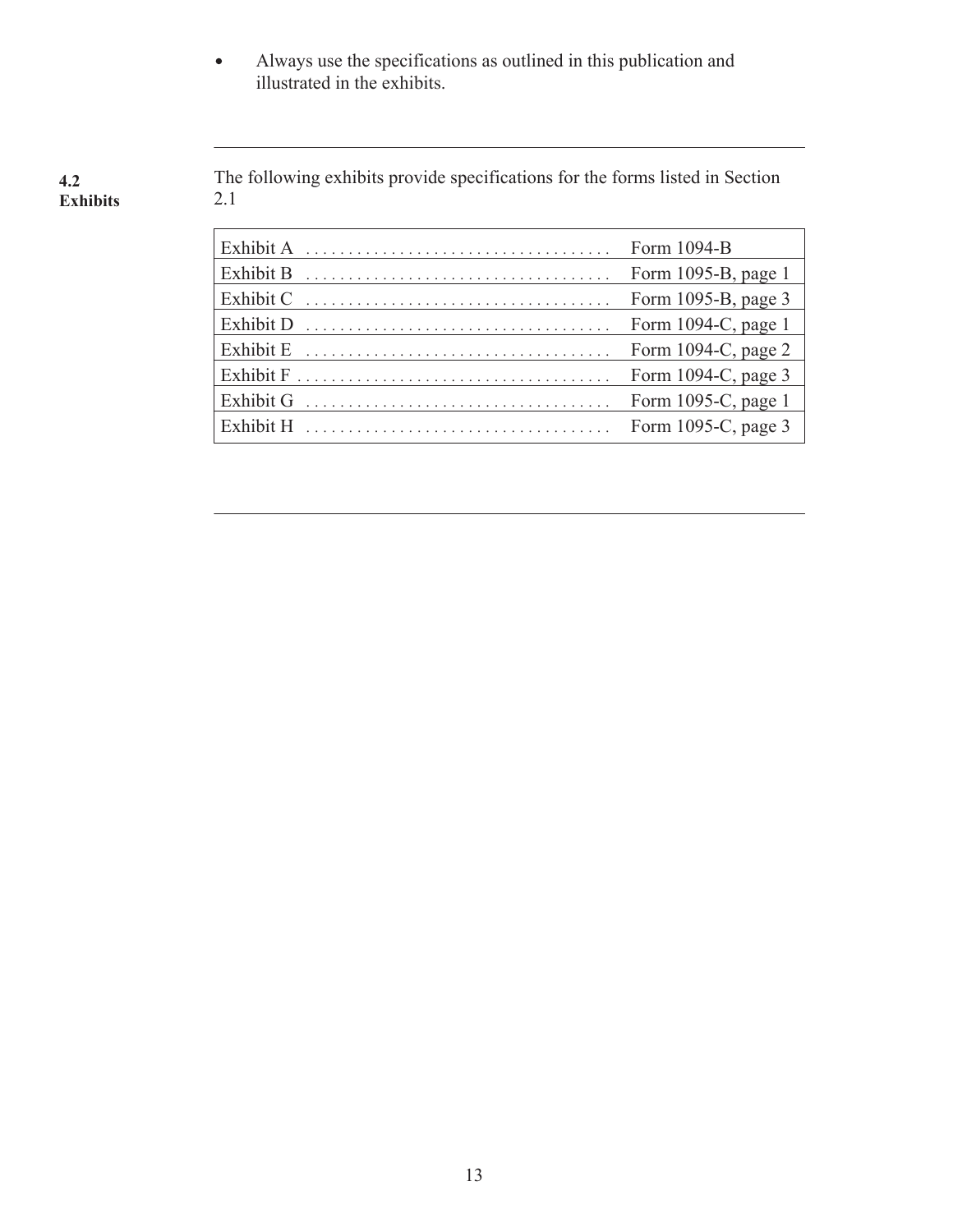Always use the specifications as outlined in this publication and  $\bullet$ illustrated in the exhibits.

. The following exhibits provide specifications for the forms listed in Section 2.1 **4.2 Exhibits**

|                  | Form 1094-B            |
|------------------|------------------------|
| <b>Exhibit B</b> | Form 1095-B, page 1    |
| Exhibit C        | Form 1095-B, page 3    |
| Exhibit D        | Form $1094-C$ , page 1 |
| Exhibit E        | Form 1094-C, page 2    |
|                  | Form 1094-C, page 3    |
| Exhibit G        | Form 1095-C, page 1    |
|                  | Form 1095-C, page 3    |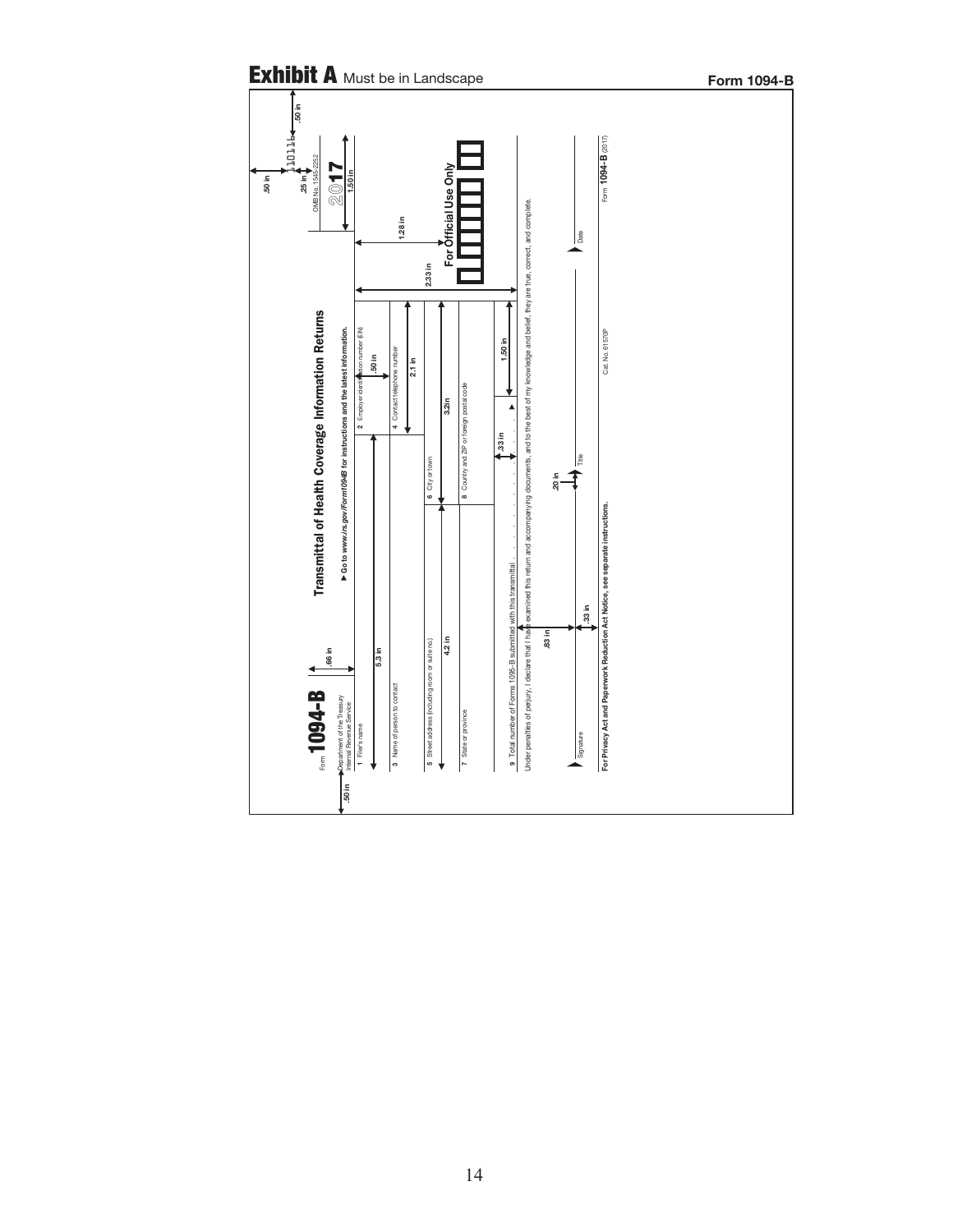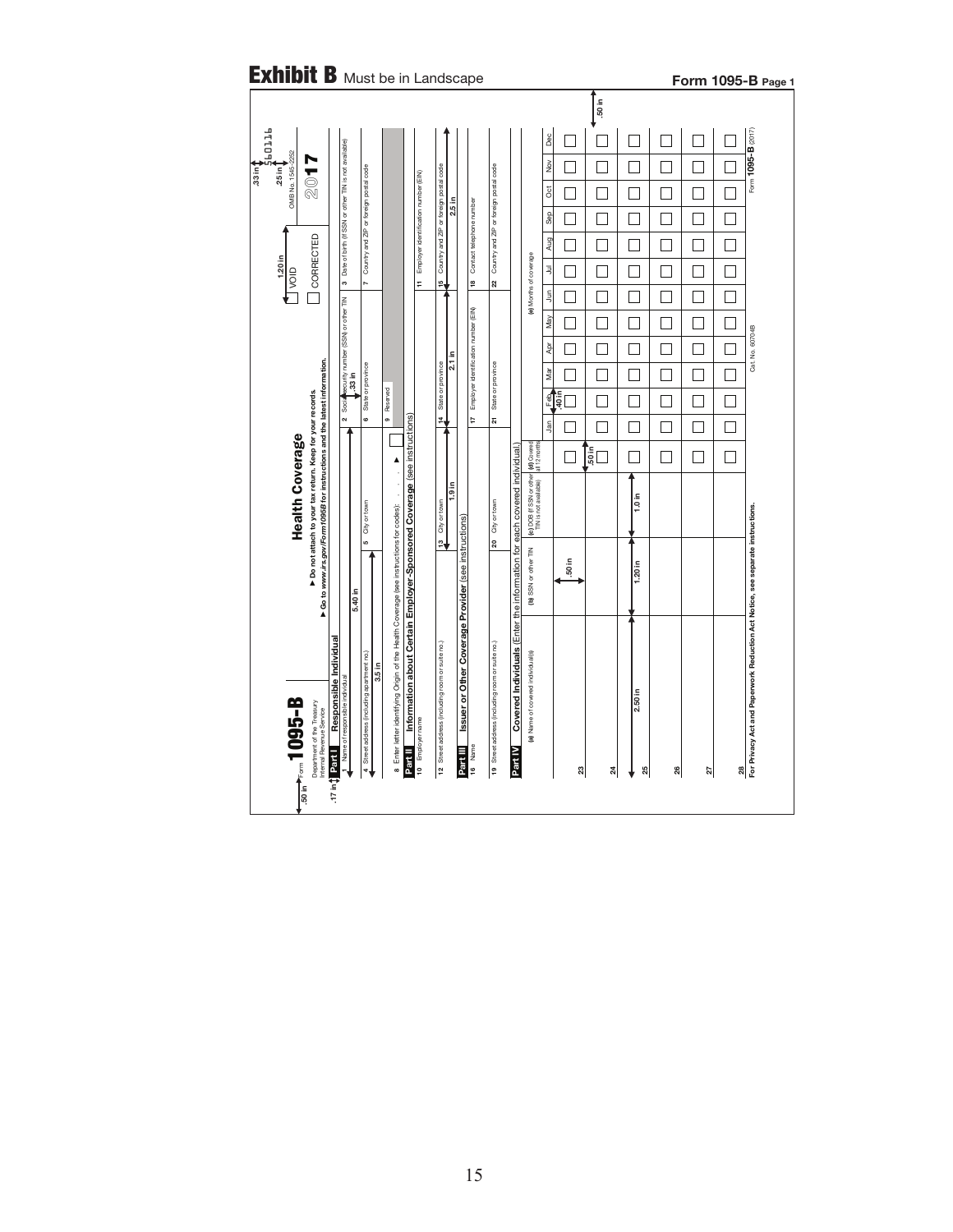|                                      |                                                                                                                                        |                                                                                                                                                                                                                                                                                                                                                                                                                                                                                                                                                                                                                                                                                                                                                                                                                                                                                                                                                                                                                                                                                                                                                                                                                                                                                                                                                                                                                                                                                                                                                                                                                                      |  |  |                                                                                     |   |    |          |   |     |  |                |   |        |     | Form 1095-B Page 1 |   |                    |
|--------------------------------------|----------------------------------------------------------------------------------------------------------------------------------------|--------------------------------------------------------------------------------------------------------------------------------------------------------------------------------------------------------------------------------------------------------------------------------------------------------------------------------------------------------------------------------------------------------------------------------------------------------------------------------------------------------------------------------------------------------------------------------------------------------------------------------------------------------------------------------------------------------------------------------------------------------------------------------------------------------------------------------------------------------------------------------------------------------------------------------------------------------------------------------------------------------------------------------------------------------------------------------------------------------------------------------------------------------------------------------------------------------------------------------------------------------------------------------------------------------------------------------------------------------------------------------------------------------------------------------------------------------------------------------------------------------------------------------------------------------------------------------------------------------------------------------------|--|--|-------------------------------------------------------------------------------------|---|----|----------|---|-----|--|----------------|---|--------|-----|--------------------|---|--------------------|
|                                      |                                                                                                                                        |                                                                                                                                                                                                                                                                                                                                                                                                                                                                                                                                                                                                                                                                                                                                                                                                                                                                                                                                                                                                                                                                                                                                                                                                                                                                                                                                                                                                                                                                                                                                                                                                                                      |  |  |                                                                                     |   |    |          |   |     |  |                |   |        |     |                    |   |                    |
| <b>PTTDP</b>                         |                                                                                                                                        |                                                                                                                                                                                                                                                                                                                                                                                                                                                                                                                                                                                                                                                                                                                                                                                                                                                                                                                                                                                                                                                                                                                                                                                                                                                                                                                                                                                                                                                                                                                                                                                                                                      |  |  |                                                                                     |   |    |          |   |     |  | Dec            |   |        |     |                    |   | Form 1095-B (2017) |
| OMB No. 1545-2252<br>$25 \text{ in}$ | 7 1 2                                                                                                                                  |                                                                                                                                                                                                                                                                                                                                                                                                                                                                                                                                                                                                                                                                                                                                                                                                                                                                                                                                                                                                                                                                                                                                                                                                                                                                                                                                                                                                                                                                                                                                                                                                                                      |  |  |                                                                                     |   |    |          |   |     |  | $\frac{8}{2}$  |   |        |     |                    |   |                    |
|                                      |                                                                                                                                        |                                                                                                                                                                                                                                                                                                                                                                                                                                                                                                                                                                                                                                                                                                                                                                                                                                                                                                                                                                                                                                                                                                                                                                                                                                                                                                                                                                                                                                                                                                                                                                                                                                      |  |  |                                                                                     |   |    |          |   |     |  | $\overline{5}$ |   |        |     |                    |   |                    |
|                                      |                                                                                                                                        |                                                                                                                                                                                                                                                                                                                                                                                                                                                                                                                                                                                                                                                                                                                                                                                                                                                                                                                                                                                                                                                                                                                                                                                                                                                                                                                                                                                                                                                                                                                                                                                                                                      |  |  |                                                                                     |   |    |          |   |     |  |                | П |        | - 1 | П                  | П |                    |
|                                      |                                                                                                                                        |                                                                                                                                                                                                                                                                                                                                                                                                                                                                                                                                                                                                                                                                                                                                                                                                                                                                                                                                                                                                                                                                                                                                                                                                                                                                                                                                                                                                                                                                                                                                                                                                                                      |  |  |                                                                                     |   |    |          |   |     |  |                |   |        |     |                    |   |                    |
| $1.20$ in<br>$\sqrt{ }$              | CORRECTED                                                                                                                              |                                                                                                                                                                                                                                                                                                                                                                                                                                                                                                                                                                                                                                                                                                                                                                                                                                                                                                                                                                                                                                                                                                                                                                                                                                                                                                                                                                                                                                                                                                                                                                                                                                      |  |  |                                                                                     | F |    |          | e | ສ   |  |                |   |        |     |                    |   |                    |
|                                      |                                                                                                                                        |                                                                                                                                                                                                                                                                                                                                                                                                                                                                                                                                                                                                                                                                                                                                                                                                                                                                                                                                                                                                                                                                                                                                                                                                                                                                                                                                                                                                                                                                                                                                                                                                                                      |  |  |                                                                                     |   |    |          |   |     |  |                |   |        |     |                    |   |                    |
|                                      |                                                                                                                                        |                                                                                                                                                                                                                                                                                                                                                                                                                                                                                                                                                                                                                                                                                                                                                                                                                                                                                                                                                                                                                                                                                                                                                                                                                                                                                                                                                                                                                                                                                                                                                                                                                                      |  |  |                                                                                     |   |    |          |   |     |  |                |   |        |     |                    |   |                    |
|                                      |                                                                                                                                        |                                                                                                                                                                                                                                                                                                                                                                                                                                                                                                                                                                                                                                                                                                                                                                                                                                                                                                                                                                                                                                                                                                                                                                                                                                                                                                                                                                                                                                                                                                                                                                                                                                      |  |  |                                                                                     |   |    | $2.1$ in |   |     |  |                |   |        |     |                    |   | Cat. No. 60704B    |
|                                      |                                                                                                                                        |                                                                                                                                                                                                                                                                                                                                                                                                                                                                                                                                                                                                                                                                                                                                                                                                                                                                                                                                                                                                                                                                                                                                                                                                                                                                                                                                                                                                                                                                                                                                                                                                                                      |  |  |                                                                                     |   |    |          |   |     |  |                |   |        |     | ┐                  |   |                    |
|                                      |                                                                                                                                        |                                                                                                                                                                                                                                                                                                                                                                                                                                                                                                                                                                                                                                                                                                                                                                                                                                                                                                                                                                                                                                                                                                                                                                                                                                                                                                                                                                                                                                                                                                                                                                                                                                      |  |  |                                                                                     |   | ¥, |          | t | ភ្ន |  |                |   |        |     |                    |   |                    |
|                                      |                                                                                                                                        |                                                                                                                                                                                                                                                                                                                                                                                                                                                                                                                                                                                                                                                                                                                                                                                                                                                                                                                                                                                                                                                                                                                                                                                                                                                                                                                                                                                                                                                                                                                                                                                                                                      |  |  |                                                                                     |   |    |          |   |     |  |                |   |        |     | □                  |   |                    |
|                                      |                                                                                                                                        |                                                                                                                                                                                                                                                                                                                                                                                                                                                                                                                                                                                                                                                                                                                                                                                                                                                                                                                                                                                                                                                                                                                                                                                                                                                                                                                                                                                                                                                                                                                                                                                                                                      |  |  |                                                                                     |   |    |          |   |     |  |                |   |        |     |                    |   |                    |
| <b>Health Coverage</b>               | ▶ Go to www.irs.gov/Form1095B for instructions and the latest information.<br>Do not attach to your tax return. Keep for your records. |                                                                                                                                                                                                                                                                                                                                                                                                                                                                                                                                                                                                                                                                                                                                                                                                                                                                                                                                                                                                                                                                                                                                                                                                                                                                                                                                                                                                                                                                                                                                                                                                                                      |  |  | ł                                                                                   |   |    |          |   |     |  |                |   | 1.0 in |     |                    |   |                    |
|                                      |                                                                                                                                        |                                                                                                                                                                                                                                                                                                                                                                                                                                                                                                                                                                                                                                                                                                                                                                                                                                                                                                                                                                                                                                                                                                                                                                                                                                                                                                                                                                                                                                                                                                                                                                                                                                      |  |  |                                                                                     |   |    |          |   |     |  |                |   |        |     |                    |   |                    |
|                                      |                                                                                                                                        |                                                                                                                                                                                                                                                                                                                                                                                                                                                                                                                                                                                                                                                                                                                                                                                                                                                                                                                                                                                                                                                                                                                                                                                                                                                                                                                                                                                                                                                                                                                                                                                                                                      |  |  |                                                                                     |   |    |          |   |     |  |                |   |        |     |                    |   |                    |
|                                      |                                                                                                                                        |                                                                                                                                                                                                                                                                                                                                                                                                                                                                                                                                                                                                                                                                                                                                                                                                                                                                                                                                                                                                                                                                                                                                                                                                                                                                                                                                                                                                                                                                                                                                                                                                                                      |  |  |                                                                                     |   |    |          |   |     |  |                |   |        |     |                    |   |                    |
|                                      |                                                                                                                                        |                                                                                                                                                                                                                                                                                                                                                                                                                                                                                                                                                                                                                                                                                                                                                                                                                                                                                                                                                                                                                                                                                                                                                                                                                                                                                                                                                                                                                                                                                                                                                                                                                                      |  |  |                                                                                     |   |    |          |   |     |  |                |   |        |     |                    |   |                    |
|                                      |                                                                                                                                        |                                                                                                                                                                                                                                                                                                                                                                                                                                                                                                                                                                                                                                                                                                                                                                                                                                                                                                                                                                                                                                                                                                                                                                                                                                                                                                                                                                                                                                                                                                                                                                                                                                      |  |  |                                                                                     |   |    |          |   |     |  |                |   |        |     |                    |   |                    |
|                                      |                                                                                                                                        |                                                                                                                                                                                                                                                                                                                                                                                                                                                                                                                                                                                                                                                                                                                                                                                                                                                                                                                                                                                                                                                                                                                                                                                                                                                                                                                                                                                                                                                                                                                                                                                                                                      |  |  |                                                                                     |   |    |          |   |     |  |                |   |        |     |                    |   |                    |
|                                      |                                                                                                                                        | <b>Exhibit B</b> Must be in Landscape<br>$\frac{1}{30}$ in<br>3 Date of birth (if SSN or other TIN is not available)<br>Country and ZIP or foreign postal code<br>Country and ZIP or foreign postal code<br>Country and ZIP or foreign postal code<br>Employer identification number (EIN)<br>2.5 in<br>Contact telephone number<br>Sep<br>Aug<br>(e) Months of coverage<br>$\bar{z}$<br>ะ∣<br>r.<br>$\tilde{z}$<br>2 Social security number (SSN) or other TIN<br>Employer identification number (EIN)<br>May<br>Apr<br>State or province<br>State or province<br>State or province<br>Mar<br>9 Reserved<br>Feb<br>İş<br>G<br>Information about Certain Employer-Sponsored Coverage (see instructions)<br>.<br>Jan<br>(c) DOB (if SSN or other (d) Covered<br>TIN is not available) all 12 months<br>Covered Individuals (Enter the information for each covered individual<br>$50 \text{ in}$<br>$\blacktriangle$<br>1.9 <sub>in</sub><br>City or town<br>City or town<br>City or town<br>8 Enter letter identifying Origin of the Health Coverage (see instructions for codes):<br>Issuer or Other Coverage Provider (see instructions)<br>ะไ<br>5<br>20<br>(b) SSN or other TIN<br>.50 in<br>$1.20$ in<br>5.40 in<br>Responsible Individual<br>12 Street address (including room or suite no.)<br>19 Street address (including room or suite no.)<br>(a) Name of covered individual(s)<br>Street address (including apartment no.)<br>3.5 in<br>Name of responsible individual<br>2.50 in<br>10 Employer name<br>16 Name<br>Part III<br>Part II<br>Part IV<br>17 in \$ Part I<br>23<br>25<br>$\frac{8}{3}$<br>$\frac{4}{3}$<br>4 |  |  | 28<br>For Pivery Act and Paperwork Reduction Act Notice, see separate instructions. |   |    |          |   |     |  |                |   |        |     |                    |   |                    |
| <b>8-5601</b>                        | Department of the Treasury<br>Internal Revenue Service                                                                                 |                                                                                                                                                                                                                                                                                                                                                                                                                                                                                                                                                                                                                                                                                                                                                                                                                                                                                                                                                                                                                                                                                                                                                                                                                                                                                                                                                                                                                                                                                                                                                                                                                                      |  |  |                                                                                     |   |    |          |   |     |  |                |   |        |     |                    |   |                    |
|                                      |                                                                                                                                        |                                                                                                                                                                                                                                                                                                                                                                                                                                                                                                                                                                                                                                                                                                                                                                                                                                                                                                                                                                                                                                                                                                                                                                                                                                                                                                                                                                                                                                                                                                                                                                                                                                      |  |  |                                                                                     |   |    |          |   |     |  |                |   |        |     |                    |   |                    |
|                                      |                                                                                                                                        |                                                                                                                                                                                                                                                                                                                                                                                                                                                                                                                                                                                                                                                                                                                                                                                                                                                                                                                                                                                                                                                                                                                                                                                                                                                                                                                                                                                                                                                                                                                                                                                                                                      |  |  |                                                                                     |   |    |          |   |     |  |                |   |        |     | 27                 |   |                    |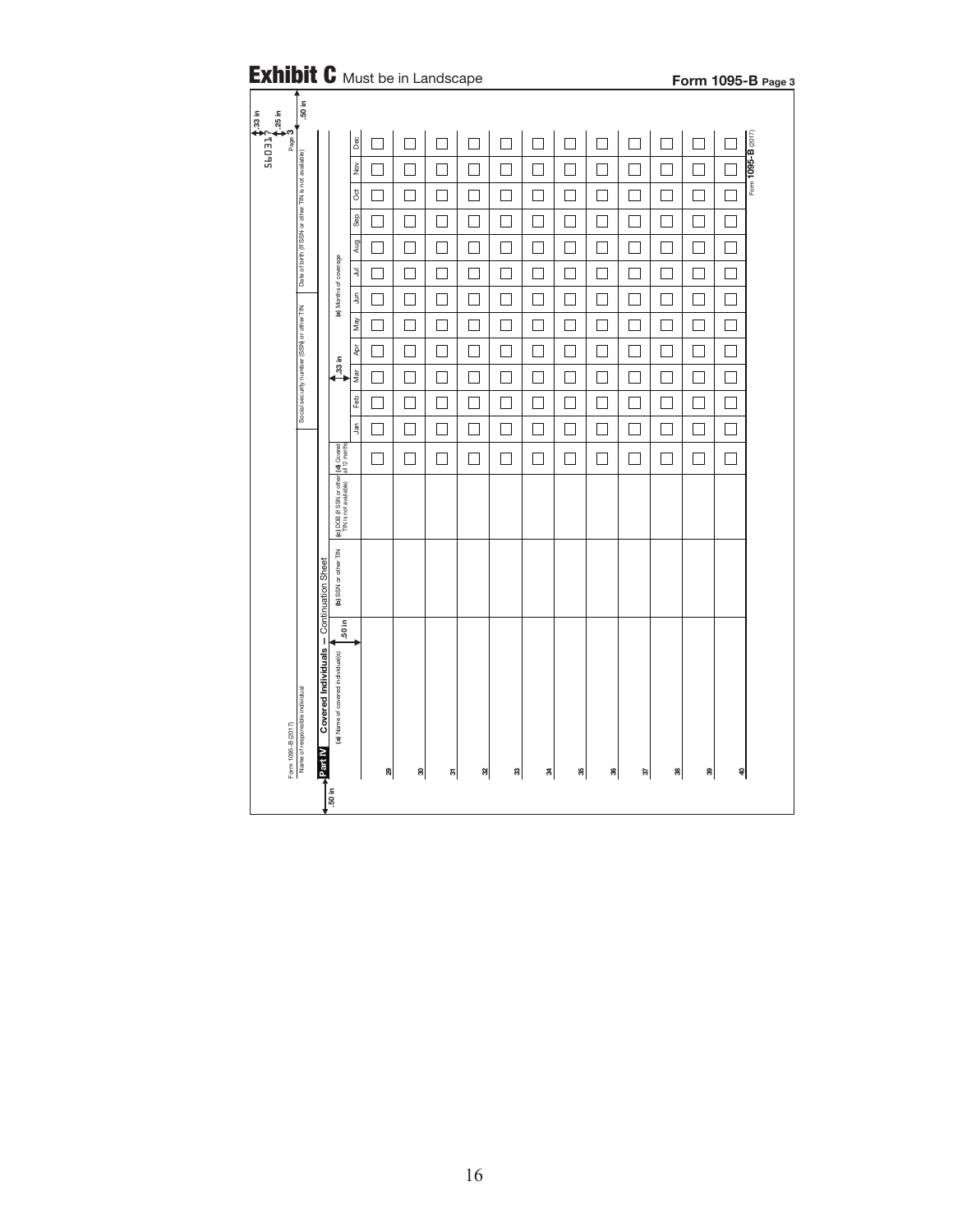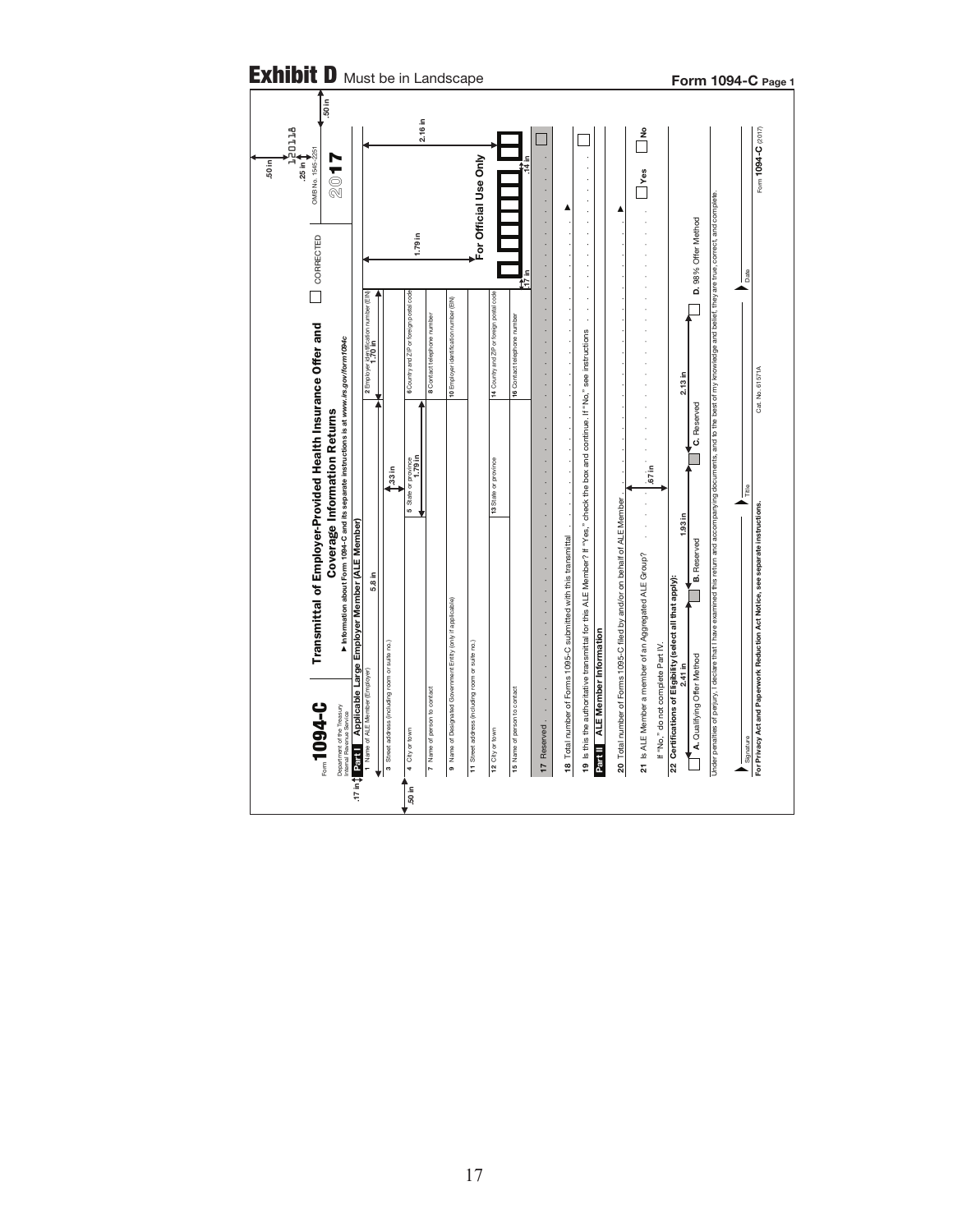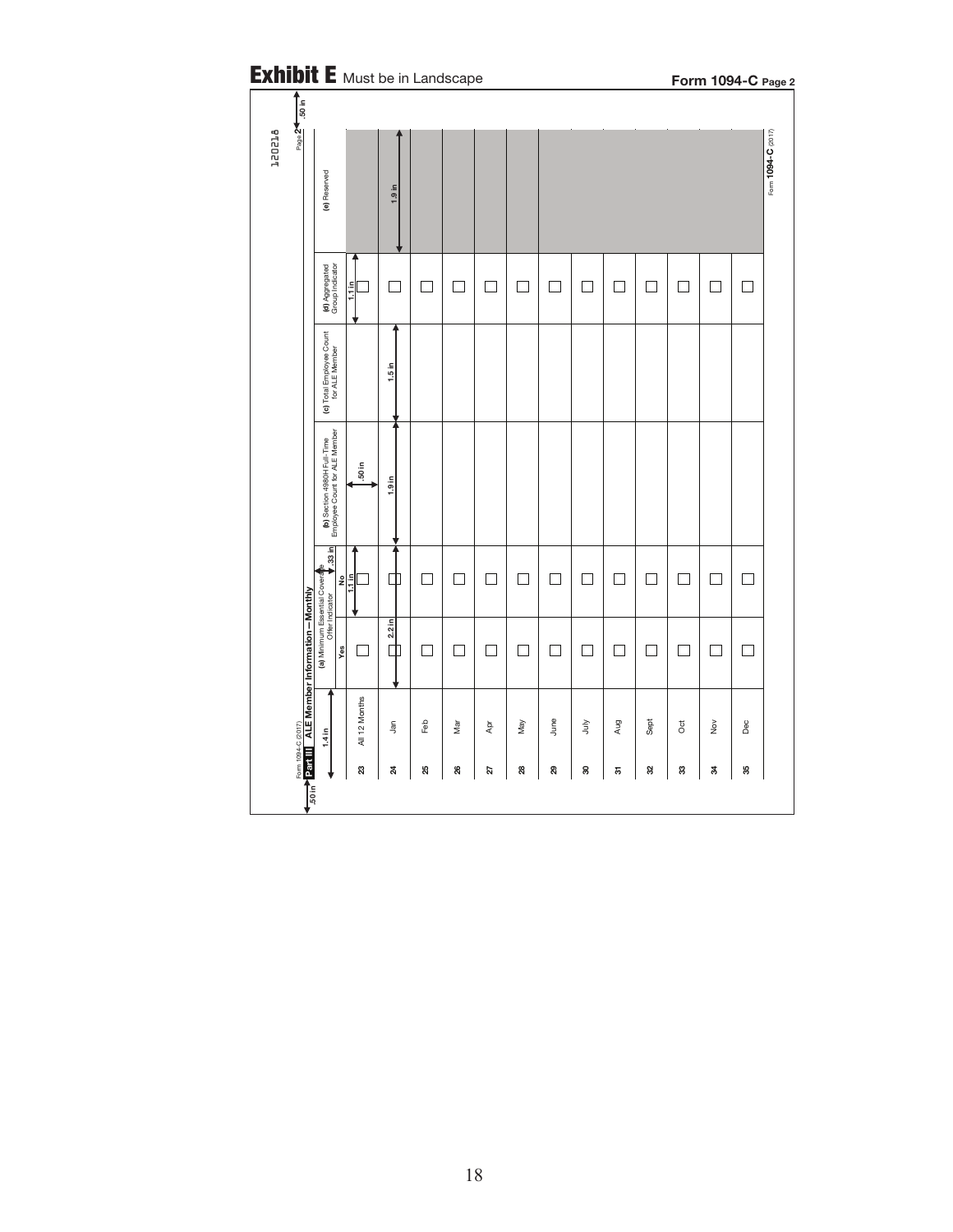| $Page \overline{24.50 \text{ in}}$ |                                                              |                  |                   |     | <b>Exhibit E</b> Must be in Landscape |     |     |      |    |     |        |        | Form 1094-C Page 2                        |     |
|------------------------------------|--------------------------------------------------------------|------------------|-------------------|-----|---------------------------------------|-----|-----|------|----|-----|--------|--------|-------------------------------------------|-----|
|                                    | (e) Reserved                                                 |                  | 1.9 in            |     |                                       |     |     |      |    |     |        |        |                                           |     |
|                                    | (d) Aggregated<br>Group Indicator                            | $1.1 \text{ in}$ |                   |     |                                       |     |     |      |    |     |        |        |                                           |     |
|                                    | (c) Total Employee Count<br>for ALE Member                   |                  | $1.5$ in          |     |                                       |     |     |      |    |     |        |        |                                           |     |
|                                    | (b) Section 4980H Full-Time<br>Employee Count for ALE Member | 50 in            | 1.9 <sub>in</sub> |     |                                       |     |     |      |    |     |        |        |                                           |     |
|                                    | $\frac{1}{2}$                                                | 틕                | Ф                 |     | П                                     |     | ٦   | П    |    | ┐   | $\Box$ | $\Box$ |                                           | ٦   |
|                                    | Yes                                                          | ۰                | $2.2$ in<br>巾     |     | $\overline{\phantom{a}}$              |     |     | ۰    |    | - 1 | ۰      | 1      | 1                                         | ┓   |
|                                    | 1.4 in                                                       | All 12 Months    | Jan               | Feb | Mar                                   | Apr | May | June | Š  | Aug | Sept   | ð      | $\stackrel{\textstyle{>}}{\textstyle{>}}$ | Dec |
|                                    |                                                              | 23               | $\boldsymbol{z}$  | 25  | 26                                    | 27  | 28  | 29   | 30 | 5   | 32     | 3      | \$                                        | 35  |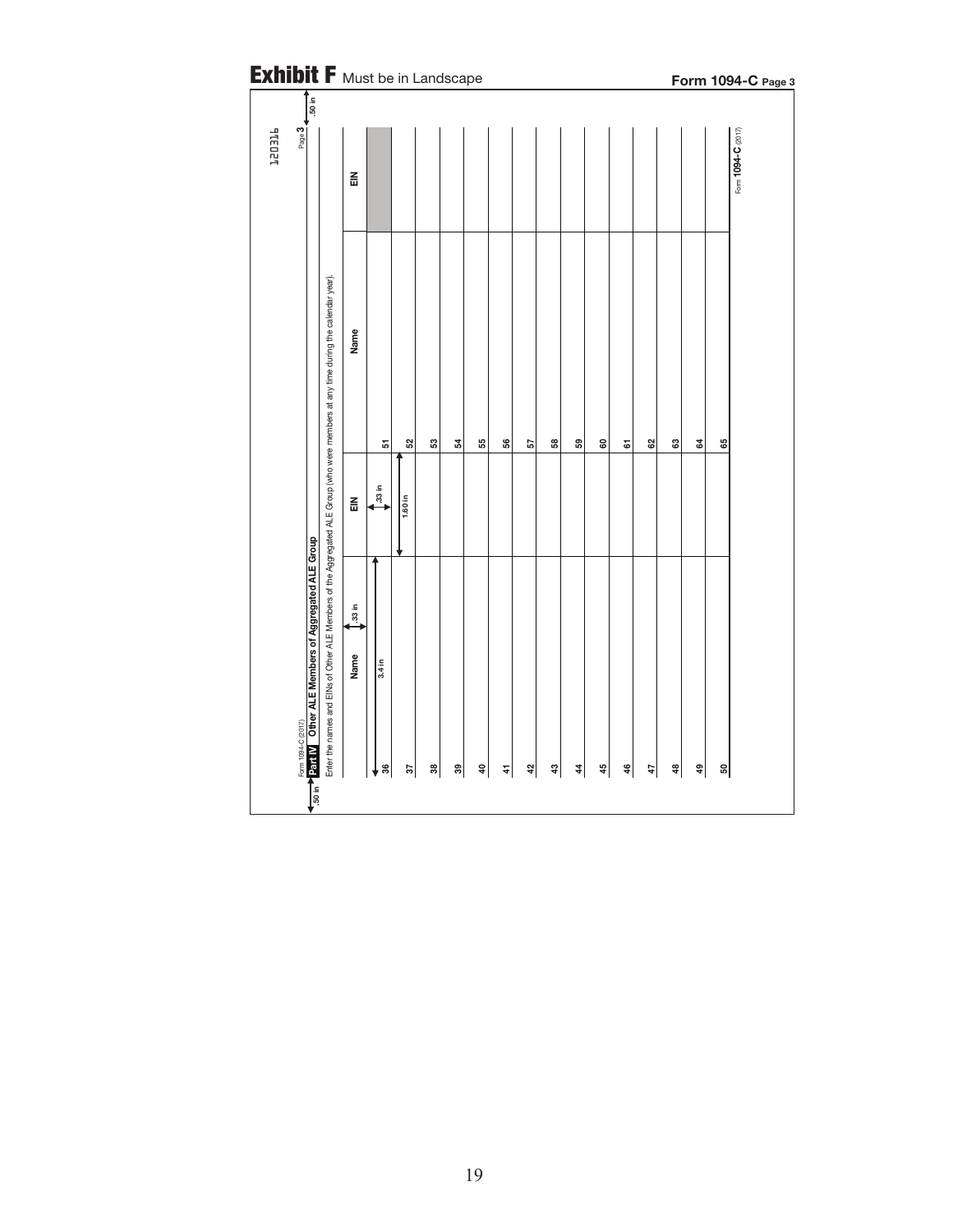| <b>Exhibit F</b> Must be in Landscape<br>$\frac{1}{50}$ in                                                                                                                                                                  |                |                    |               |    |    |    |            |    |                |                  |    |    |    |    |    | Form 1094-C Page 3 |  |
|-----------------------------------------------------------------------------------------------------------------------------------------------------------------------------------------------------------------------------|----------------|--------------------|---------------|----|----|----|------------|----|----------------|------------------|----|----|----|----|----|--------------------|--|
| Page 3<br>PTEDET                                                                                                                                                                                                            | $\frac{2}{10}$ |                    |               |    |    |    |            |    |                |                  |    |    |    |    |    | Form 1094-C (2017) |  |
|                                                                                                                                                                                                                             | Name           |                    |               |    |    |    |            |    |                |                  |    |    |    |    |    |                    |  |
|                                                                                                                                                                                                                             | $\tilde{m}$    | 5<br>33 in         | 52<br>1.60 in | ន  | 54 | 55 | \$         | 57 | 38             | 59               | 8  | 5  | 29 | S  | \$ | 8                  |  |
| Enter the names and EINs of Other ALE Members of the Aggregated ALE Group (who were members at any time during the calendar year).<br>Form 1094-C (2017)<br><mark>12511 Ⅳ  Other ALE Members of Aggregated ALE Group</mark> | 33 in<br>Name  | $\frac{1}{3.4}$ in |               |    |    |    |            |    |                |                  |    |    |    |    |    |                    |  |
| <b>150 in</b>                                                                                                                                                                                                               |                | g                  | 57            | జి | ఇ  | ੩  | $\ddot{4}$ | ą  | $\mathfrak{A}$ | $\boldsymbol{4}$ | 49 | \$ | 47 | \$ | Ş  | ន                  |  |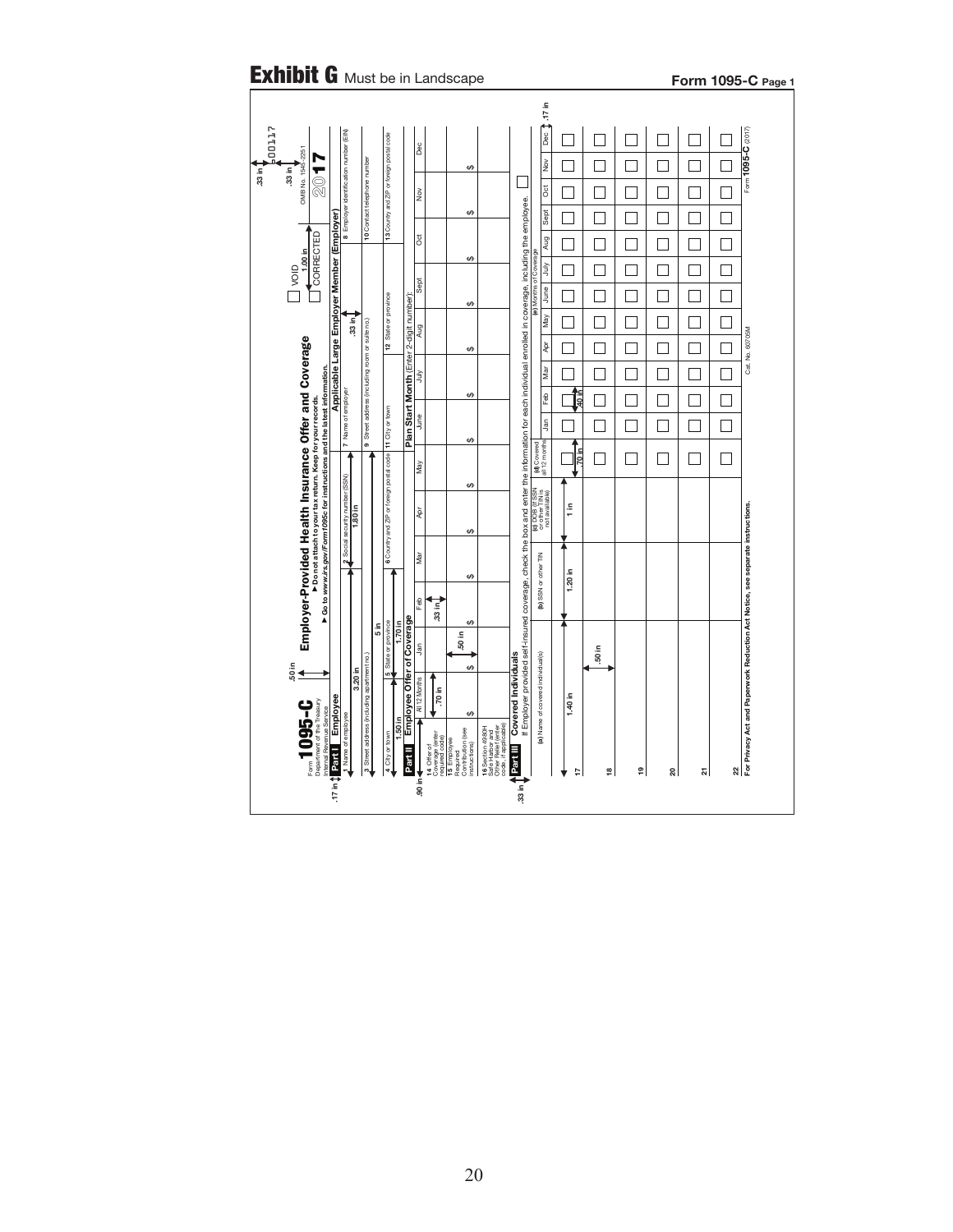